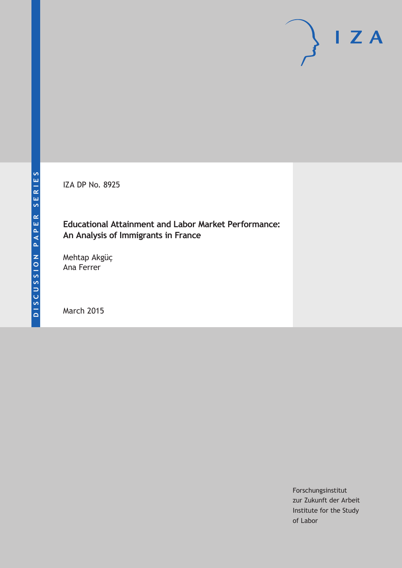IZA DP No. 8925

# **Educational Attainment and Labor Market Performance: An Analysis of Immigrants in France**

Mehtap Akgüç Ana Ferrer

March 2015

Forschungsinstitut zur Zukunft der Arbeit Institute for the Study of Labor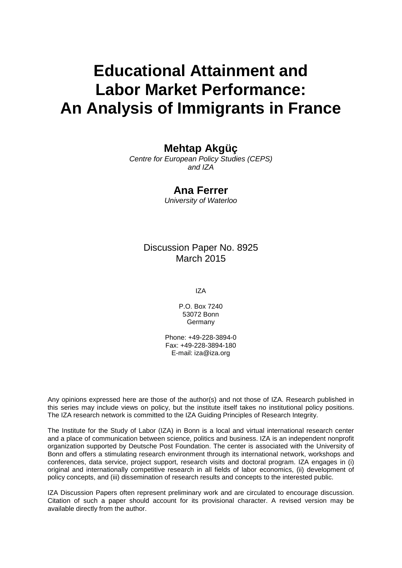# **Educational Attainment and Labor Market Performance: An Analysis of Immigrants in France**

# **Mehtap Akgüç**

*Centre for European Policy Studies (CEPS) and IZA*

### **Ana Ferrer**

*University of Waterloo*

## Discussion Paper No. 8925 March 2015

IZA

P.O. Box 7240 53072 Bonn Germany

Phone: +49-228-3894-0 Fax: +49-228-3894-180 E-mail: iza@iza.org

Any opinions expressed here are those of the author(s) and not those of IZA. Research published in this series may include views on policy, but the institute itself takes no institutional policy positions. The IZA research network is committed to the IZA Guiding Principles of Research Integrity.

The Institute for the Study of Labor (IZA) in Bonn is a local and virtual international research center and a place of communication between science, politics and business. IZA is an independent nonprofit organization supported by Deutsche Post Foundation. The center is associated with the University of Bonn and offers a stimulating research environment through its international network, workshops and conferences, data service, project support, research visits and doctoral program. IZA engages in (i) original and internationally competitive research in all fields of labor economics, (ii) development of policy concepts, and (iii) dissemination of research results and concepts to the interested public.

<span id="page-1-0"></span>IZA Discussion Papers often represent preliminary work and are circulated to encourage discussion. Citation of such a paper should account for its provisional character. A revised version may be available directly from the author.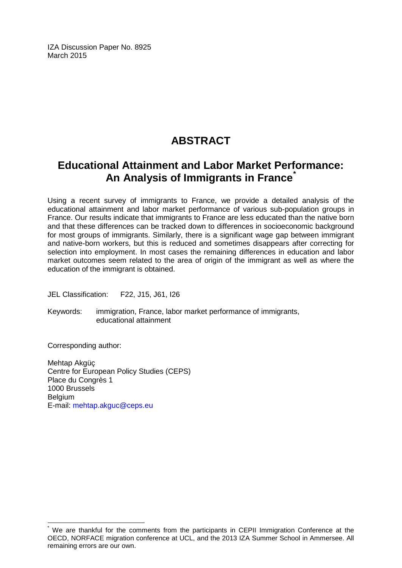IZA Discussion Paper No. 8925 March 2015

# **ABSTRACT**

# **Educational Attainment and Labor Market Performance: An Analysis of Immigrants in France[\\*](#page-1-0)**

Using a recent survey of immigrants to France, we provide a detailed analysis of the educational attainment and labor market performance of various sub-population groups in France. Our results indicate that immigrants to France are less educated than the native born and that these differences can be tracked down to differences in socioeconomic background for most groups of immigrants. Similarly, there is a significant wage gap between immigrant and native-born workers, but this is reduced and sometimes disappears after correcting for selection into employment. In most cases the remaining differences in education and labor market outcomes seem related to the area of origin of the immigrant as well as where the education of the immigrant is obtained.

JEL Classification: F22, J15, J61, I26

Keywords: immigration, France, labor market performance of immigrants, educational attainment

Corresponding author:

Mehtap Akgüç Centre for European Policy Studies (CEPS) Place du Congrès 1 1000 Brussels Belgium E-mail: [mehtap.akguc@ceps.eu](mailto:mehtap.akguc@ceps.eu)

We are thankful for the comments from the participants in CEPII Immigration Conference at the OECD, NORFACE migration conference at UCL, and the 2013 IZA Summer School in Ammersee. All remaining errors are our own.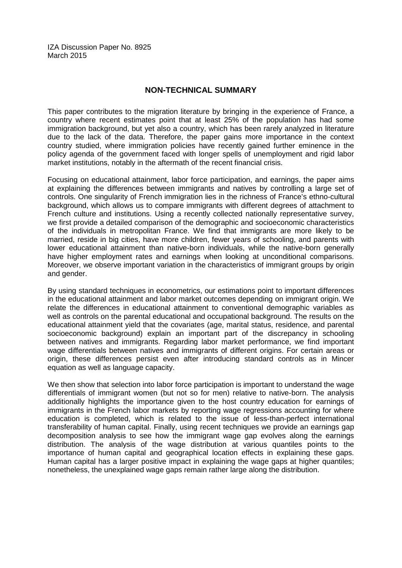IZA Discussion Paper No. 8925 March 2015

#### **NON-TECHNICAL SUMMARY**

This paper contributes to the migration literature by bringing in the experience of France, a country where recent estimates point that at least 25% of the population has had some immigration background, but yet also a country, which has been rarely analyzed in literature due to the lack of the data. Therefore, the paper gains more importance in the context country studied, where immigration policies have recently gained further eminence in the policy agenda of the government faced with longer spells of unemployment and rigid labor market institutions, notably in the aftermath of the recent financial crisis.

Focusing on educational attainment, labor force participation, and earnings, the paper aims at explaining the differences between immigrants and natives by controlling a large set of controls. One singularity of French immigration lies in the richness of France's ethno-cultural background, which allows us to compare immigrants with different degrees of attachment to French culture and institutions. Using a recently collected nationally representative survey, we first provide a detailed comparison of the demographic and socioeconomic characteristics of the individuals in metropolitan France. We find that immigrants are more likely to be married, reside in big cities, have more children, fewer years of schooling, and parents with lower educational attainment than native-born individuals, while the native-born generally have higher employment rates and earnings when looking at unconditional comparisons. Moreover, we observe important variation in the characteristics of immigrant groups by origin and gender.

By using standard techniques in econometrics, our estimations point to important differences in the educational attainment and labor market outcomes depending on immigrant origin. We relate the differences in educational attainment to conventional demographic variables as well as controls on the parental educational and occupational background. The results on the educational attainment yield that the covariates (age, marital status, residence, and parental socioeconomic background) explain an important part of the discrepancy in schooling between natives and immigrants. Regarding labor market performance, we find important wage differentials between natives and immigrants of different origins. For certain areas or origin, these differences persist even after introducing standard controls as in Mincer equation as well as language capacity.

We then show that selection into labor force participation is important to understand the wage differentials of immigrant women (but not so for men) relative to native-born. The analysis additionally highlights the importance given to the host country education for earnings of immigrants in the French labor markets by reporting wage regressions accounting for where education is completed, which is related to the issue of less-than-perfect international transferability of human capital. Finally, using recent techniques we provide an earnings gap decomposition analysis to see how the immigrant wage gap evolves along the earnings distribution. The analysis of the wage distribution at various quantiles points to the importance of human capital and geographical location effects in explaining these gaps. Human capital has a larger positive impact in explaining the wage gaps at higher quantiles; nonetheless, the unexplained wage gaps remain rather large along the distribution.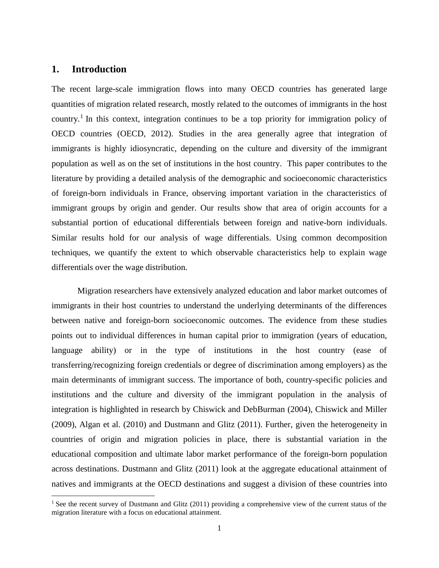#### **1. Introduction**

 $\overline{\phantom{a}}$ 

The recent large-scale immigration flows into many OECD countries has generated large quantities of migration related research, mostly related to the outcomes of immigrants in the host country.<sup>1</sup> In this context, integration continues to be a top priority for immigration policy of OECD countries (OECD, 2012). Studies in the area generally agree that integration of immigrants is highly idiosyncratic, depending on the culture and diversity of the immigrant population as well as on the set of institutions in the host country. This paper contributes to the literature by providing a detailed analysis of the demographic and socioeconomic characteristics of foreign-born individuals in France, observing important variation in the characteristics of immigrant groups by origin and gender. Our results show that area of origin accounts for a substantial portion of educational differentials between foreign and native-born individuals. Similar results hold for our analysis of wage differentials. Using common decomposition techniques, we quantify the extent to which observable characteristics help to explain wage differentials over the wage distribution.

Migration researchers have extensively analyzed education and labor market outcomes of immigrants in their host countries to understand the underlying determinants of the differences between native and foreign-born socioeconomic outcomes. The evidence from these studies points out to individual differences in human capital prior to immigration (years of education, language ability) or in the type of institutions in the host country (ease of transferring/recognizing foreign credentials or degree of discrimination among employers) as the main determinants of immigrant success. The importance of both, country-specific policies and institutions and the culture and diversity of the immigrant population in the analysis of integration is highlighted in research by Chiswick and DebBurman (2004), Chiswick and Miller (2009), Algan et al. (2010) and Dustmann and Glitz (2011). Further, given the heterogeneity in countries of origin and migration policies in place, there is substantial variation in the educational composition and ultimate labor market performance of the foreign-born population across destinations. Dustmann and Glitz (2011) look at the aggregate educational attainment of natives and immigrants at the OECD destinations and suggest a division of these countries into

<sup>&</sup>lt;sup>1</sup> See the recent survey of Dustmann and Glitz (2011) providing a comprehensive view of the current status of the migration literature with a focus on educational attainment.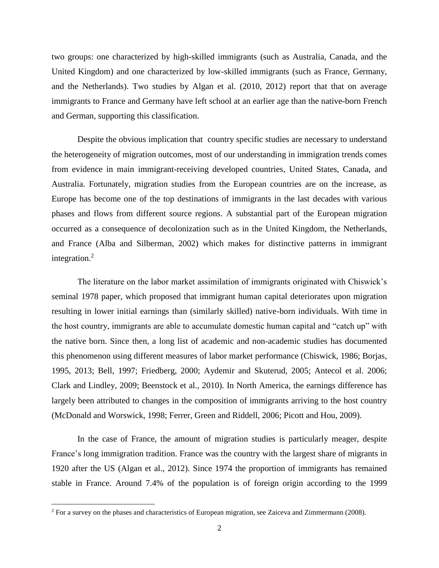two groups: one characterized by high-skilled immigrants (such as Australia, Canada, and the United Kingdom) and one characterized by low-skilled immigrants (such as France, Germany, and the Netherlands). Two studies by Algan et al. (2010, 2012) report that that on average immigrants to France and Germany have left school at an earlier age than the native-born French and German, supporting this classification.

Despite the obvious implication that country specific studies are necessary to understand the heterogeneity of migration outcomes, most of our understanding in immigration trends comes from evidence in main immigrant-receiving developed countries, United States, Canada, and Australia. Fortunately, migration studies from the European countries are on the increase, as Europe has become one of the top destinations of immigrants in the last decades with various phases and flows from different source regions. A substantial part of the European migration occurred as a consequence of decolonization such as in the United Kingdom, the Netherlands, and France (Alba and Silberman, 2002) which makes for distinctive patterns in immigrant integration. 2

The literature on the labor market assimilation of immigrants originated with Chiswick's seminal 1978 paper, which proposed that immigrant human capital deteriorates upon migration resulting in lower initial earnings than (similarly skilled) native-born individuals. With time in the host country, immigrants are able to accumulate domestic human capital and "catch up" with the native born. Since then, a long list of academic and non-academic studies has documented this phenomenon using different measures of labor market performance (Chiswick, 1986; Borjas, 1995, 2013; Bell, 1997; Friedberg, 2000; Aydemir and Skuterud, 2005; Antecol et al. 2006; Clark and Lindley, 2009; Beenstock et al., 2010). In North America, the earnings difference has largely been attributed to changes in the composition of immigrants arriving to the host country (McDonald and Worswick, 1998; Ferrer, Green and Riddell, 2006; Picott and Hou, 2009).

In the case of France, the amount of migration studies is particularly meager, despite France's long immigration tradition. France was the country with the largest share of migrants in 1920 after the US (Algan et al., 2012). Since 1974 the proportion of immigrants has remained stable in France. Around 7.4% of the population is of foreign origin according to the 1999

 $\overline{\phantom{a}}$ 

 $2$  For a survey on the phases and characteristics of European migration, see Zaiceva and Zimmermann (2008).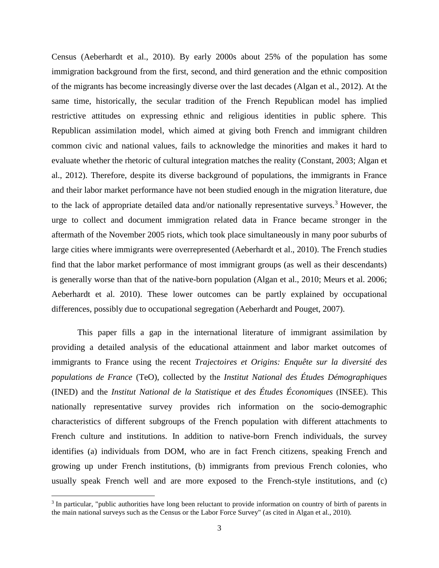Census (Aeberhardt et al., 2010). By early 2000s about 25% of the population has some immigration background from the first, second, and third generation and the ethnic composition of the migrants has become increasingly diverse over the last decades (Algan et al., 2012). At the same time, historically, the secular tradition of the French Republican model has implied restrictive attitudes on expressing ethnic and religious identities in public sphere. This Republican assimilation model, which aimed at giving both French and immigrant children common civic and national values, fails to acknowledge the minorities and makes it hard to evaluate whether the rhetoric of cultural integration matches the reality (Constant, 2003; Algan et al., 2012). Therefore, despite its diverse background of populations, the immigrants in France and their labor market performance have not been studied enough in the migration literature, due to the lack of appropriate detailed data and/or nationally representative surveys.<sup>3</sup> However, the urge to collect and document immigration related data in France became stronger in the aftermath of the November 2005 riots, which took place simultaneously in many poor suburbs of large cities where immigrants were overrepresented (Aeberhardt et al., 2010). The French studies find that the labor market performance of most immigrant groups (as well as their descendants) is generally worse than that of the native-born population (Algan et al., 2010; Meurs et al. 2006; Aeberhardt et al. 2010). These lower outcomes can be partly explained by occupational differences, possibly due to occupational segregation (Aeberhardt and Pouget, 2007).

This paper fills a gap in the international literature of immigrant assimilation by providing a detailed analysis of the educational attainment and labor market outcomes of immigrants to France using the recent *Trajectoires et Origins: Enquête sur la diversité des populations de France* (TeO), collected by the *Institut National des Études Démographiques* (INED) and the *Institut National de la Statistique et des Études Économiques* (INSEE). This nationally representative survey provides rich information on the socio-demographic characteristics of different subgroups of the French population with different attachments to French culture and institutions. In addition to native-born French individuals, the survey identifies (a) individuals from DOM, who are in fact French citizens, speaking French and growing up under French institutions, (b) immigrants from previous French colonies, who usually speak French well and are more exposed to the French-style institutions, and (c)

 $\overline{\phantom{a}}$ 

<sup>&</sup>lt;sup>3</sup> In particular, "public authorities have long been reluctant to provide information on country of birth of parents in the main national surveys such as the Census or the Labor Force Survey" (as cited in Algan et al., 2010).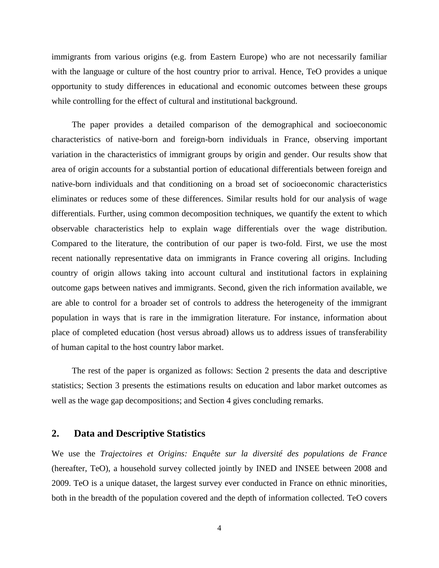immigrants from various origins (e.g. from Eastern Europe) who are not necessarily familiar with the language or culture of the host country prior to arrival. Hence, TeO provides a unique opportunity to study differences in educational and economic outcomes between these groups while controlling for the effect of cultural and institutional background.

The paper provides a detailed comparison of the demographical and socioeconomic characteristics of native-born and foreign-born individuals in France, observing important variation in the characteristics of immigrant groups by origin and gender. Our results show that area of origin accounts for a substantial portion of educational differentials between foreign and native-born individuals and that conditioning on a broad set of socioeconomic characteristics eliminates or reduces some of these differences. Similar results hold for our analysis of wage differentials. Further, using common decomposition techniques, we quantify the extent to which observable characteristics help to explain wage differentials over the wage distribution. Compared to the literature, the contribution of our paper is two-fold. First, we use the most recent nationally representative data on immigrants in France covering all origins. Including country of origin allows taking into account cultural and institutional factors in explaining outcome gaps between natives and immigrants. Second, given the rich information available, we are able to control for a broader set of controls to address the heterogeneity of the immigrant population in ways that is rare in the immigration literature. For instance, information about place of completed education (host versus abroad) allows us to address issues of transferability of human capital to the host country labor market.

The rest of the paper is organized as follows: Section 2 presents the data and descriptive statistics; Section 3 presents the estimations results on education and labor market outcomes as well as the wage gap decompositions; and Section 4 gives concluding remarks.

#### **2. Data and Descriptive Statistics**

We use the *Trajectoires et Origins: Enquête sur la diversité des populations de France* (hereafter, TeO), a household survey collected jointly by INED and INSEE between 2008 and 2009. TeO is a unique dataset, the largest survey ever conducted in France on ethnic minorities, both in the breadth of the population covered and the depth of information collected. TeO covers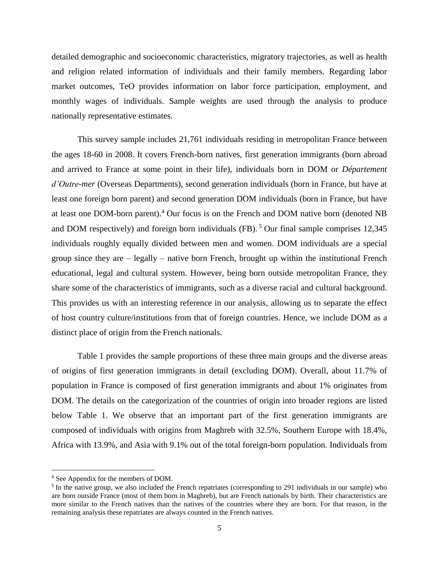detailed demographic and socioeconomic characteristics, migratory trajectories, as well as health and religion related information of individuals and their family members. Regarding labor market outcomes, TeO provides information on labor force participation, employment, and monthly wages of individuals. Sample weights are used through the analysis to produce nationally representative estimates.

This survey sample includes 21,761 individuals residing in metropolitan France between the ages 18-60 in 2008. It covers French-born natives, first generation immigrants (born abroad and arrived to France at some point in their life), individuals born in DOM or *Département d'Outre-mer* (Overseas Departments), second generation individuals (born in France, but have at least one foreign born parent) and second generation DOM individuals (born in France, but have at least one DOM-born parent).<sup>4</sup> Our focus is on the French and DOM native born (denoted NB and DOM respectively) and foreign born individuals (FB).  $5$  Our final sample comprises 12,345 individuals roughly equally divided between men and women. DOM individuals are a special group since they are – legally – native born French, brought up within the institutional French educational, legal and cultural system. However, being born outside metropolitan France, they share some of the characteristics of immigrants, such as a diverse racial and cultural background. This provides us with an interesting reference in our analysis, allowing us to separate the effect of host country culture/institutions from that of foreign countries. Hence, we include DOM as a distinct place of origin from the French nationals.

[Table 1](#page-30-0) provides the sample proportions of these three main groups and the diverse areas of origins of first generation immigrants in detail (excluding DOM). Overall, about 11.7% of population in France is composed of first generation immigrants and about 1% originates from DOM. The details on the categorization of the countries of origin into broader regions are listed below [Table 1.](#page-30-0) We observe that an important part of the first generation immigrants are composed of individuals with origins from Maghreb with 32.5%, Southern Europe with 18.4%, Africa with 13.9%, and Asia with 9.1% out of the total foreign-born population. Individuals from

 $\overline{a}$ 

<sup>4</sup> See Appendix for the members of DOM.

<sup>&</sup>lt;sup>5</sup> In the native group, we also included the French repatriates (corresponding to 291 individuals in our sample) who are born outside France (most of them born in Maghreb), but are French nationals by birth. Their characteristics are more similar to the French natives than the natives of the countries where they are born. For that reason, in the remaining analysis these repatriates are always counted in the French natives.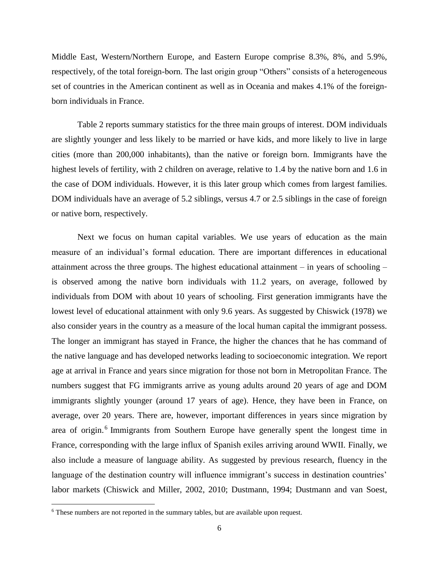Middle East, Western/Northern Europe, and Eastern Europe comprise 8.3%, 8%, and 5.9%, respectively, of the total foreign-born. The last origin group "Others" consists of a heterogeneous set of countries in the American continent as well as in Oceania and makes 4.1% of the foreignborn individuals in France.

[Table 2](#page-31-0) reports summary statistics for the three main groups of interest. DOM individuals are slightly younger and less likely to be married or have kids, and more likely to live in large cities (more than 200,000 inhabitants), than the native or foreign born. Immigrants have the highest levels of fertility, with 2 children on average, relative to 1.4 by the native born and 1.6 in the case of DOM individuals. However, it is this later group which comes from largest families. DOM individuals have an average of 5.2 siblings, versus 4.7 or 2.5 siblings in the case of foreign or native born, respectively.

Next we focus on human capital variables. We use years of education as the main measure of an individual's formal education. There are important differences in educational attainment across the three groups. The highest educational attainment – in years of schooling – is observed among the native born individuals with 11.2 years, on average, followed by individuals from DOM with about 10 years of schooling. First generation immigrants have the lowest level of educational attainment with only 9.6 years. As suggested by Chiswick (1978) we also consider years in the country as a measure of the local human capital the immigrant possess. The longer an immigrant has stayed in France, the higher the chances that he has command of the native language and has developed networks leading to socioeconomic integration. We report age at arrival in France and years since migration for those not born in Metropolitan France. The numbers suggest that FG immigrants arrive as young adults around 20 years of age and DOM immigrants slightly younger (around 17 years of age). Hence, they have been in France, on average, over 20 years. There are, however, important differences in years since migration by area of origin.<sup>6</sup> Immigrants from Southern Europe have generally spent the longest time in France, corresponding with the large influx of Spanish exiles arriving around WWII. Finally, we also include a measure of language ability. As suggested by previous research, fluency in the language of the destination country will influence immigrant's success in destination countries' labor markets (Chiswick and Miller, 2002, 2010; Dustmann, 1994; Dustmann and van Soest,

 $\overline{\phantom{a}}$ 

<sup>6</sup> These numbers are not reported in the summary tables, but are available upon request.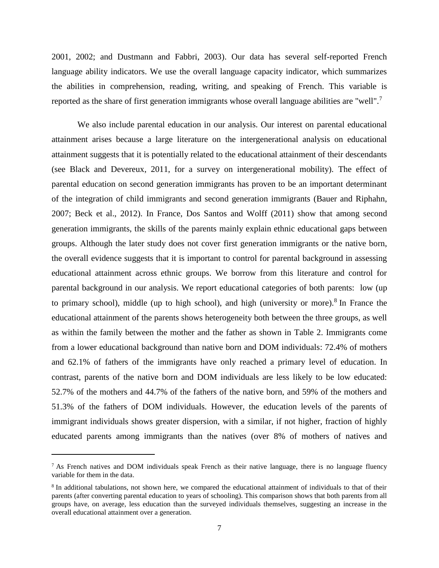2001, 2002; and Dustmann and Fabbri, 2003). Our data has several self-reported French language ability indicators. We use the overall language capacity indicator, which summarizes the abilities in comprehension, reading, writing, and speaking of French. This variable is reported as the share of first generation immigrants whose overall language abilities are "well".<sup>7</sup>

We also include parental education in our analysis. Our interest on parental educational attainment arises because a large literature on the intergenerational analysis on educational attainment suggests that it is potentially related to the educational attainment of their descendants (see Black and Devereux, 2011, for a survey on intergenerational mobility). The effect of parental education on second generation immigrants has proven to be an important determinant of the integration of child immigrants and second generation immigrants (Bauer and Riphahn, 2007; Beck et al., 2012). In France, Dos Santos and Wolff (2011) show that among second generation immigrants, the skills of the parents mainly explain ethnic educational gaps between groups. Although the later study does not cover first generation immigrants or the native born, the overall evidence suggests that it is important to control for parental background in assessing educational attainment across ethnic groups. We borrow from this literature and control for parental background in our analysis. We report educational categories of both parents: low (up to primary school), middle (up to high school), and high (university or more). $8 \text{ In}$  France the educational attainment of the parents shows heterogeneity both between the three groups, as well as within the family between the mother and the father as shown in [Table 2.](#page-31-0) Immigrants come from a lower educational background than native born and DOM individuals: 72.4% of mothers and 62.1% of fathers of the immigrants have only reached a primary level of education. In contrast, parents of the native born and DOM individuals are less likely to be low educated: 52.7% of the mothers and 44.7% of the fathers of the native born, and 59% of the mothers and 51.3% of the fathers of DOM individuals. However, the education levels of the parents of immigrant individuals shows greater dispersion, with a similar, if not higher, fraction of highly educated parents among immigrants than the natives (over 8% of mothers of natives and

l

<sup>&</sup>lt;sup>7</sup> As French natives and DOM individuals speak French as their native language, there is no language fluency variable for them in the data.

<sup>&</sup>lt;sup>8</sup> In additional tabulations, not shown here, we compared the educational attainment of individuals to that of their parents (after converting parental education to years of schooling). This comparison shows that both parents from all groups have, on average, less education than the surveyed individuals themselves, suggesting an increase in the overall educational attainment over a generation.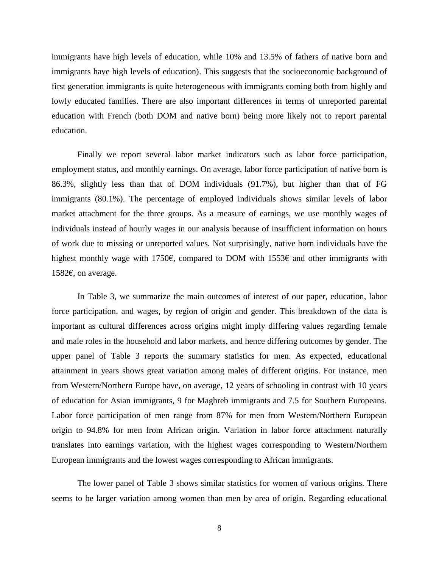immigrants have high levels of education, while 10% and 13.5% of fathers of native born and immigrants have high levels of education). This suggests that the socioeconomic background of first generation immigrants is quite heterogeneous with immigrants coming both from highly and lowly educated families. There are also important differences in terms of unreported parental education with French (both DOM and native born) being more likely not to report parental education.

Finally we report several labor market indicators such as labor force participation, employment status, and monthly earnings. On average, labor force participation of native born is 86.3%, slightly less than that of DOM individuals (91.7%), but higher than that of FG immigrants (80.1%). The percentage of employed individuals shows similar levels of labor market attachment for the three groups. As a measure of earnings, we use monthly wages of individuals instead of hourly wages in our analysis because of insufficient information on hours of work due to missing or unreported values. Not surprisingly, native born individuals have the highest monthly wage with 1750€, compared to DOM with 1553€ and other immigrants with 1582€, on average.

In [Table 3,](#page-32-0) we summarize the main outcomes of interest of our paper, education, labor force participation, and wages, by region of origin and gender. This breakdown of the data is important as cultural differences across origins might imply differing values regarding female and male roles in the household and labor markets, and hence differing outcomes by gender. The upper panel of [Table 3](#page-32-0) reports the summary statistics for men. As expected, educational attainment in years shows great variation among males of different origins. For instance, men from Western/Northern Europe have, on average, 12 years of schooling in contrast with 10 years of education for Asian immigrants, 9 for Maghreb immigrants and 7.5 for Southern Europeans. Labor force participation of men range from 87% for men from Western/Northern European origin to 94.8% for men from African origin. Variation in labor force attachment naturally translates into earnings variation, with the highest wages corresponding to Western/Northern European immigrants and the lowest wages corresponding to African immigrants.

The lower panel of [Table 3](#page-32-0) shows similar statistics for women of various origins. There seems to be larger variation among women than men by area of origin. Regarding educational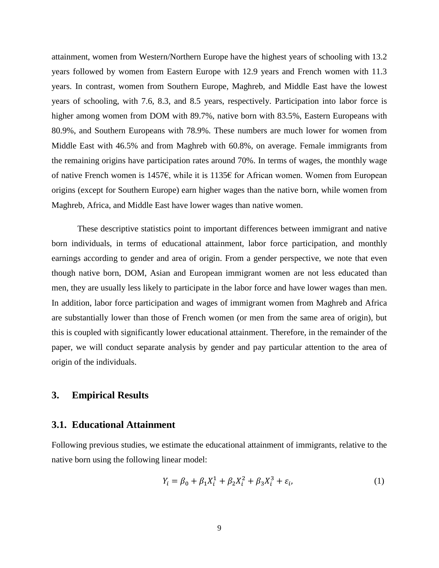attainment, women from Western/Northern Europe have the highest years of schooling with 13.2 years followed by women from Eastern Europe with 12.9 years and French women with 11.3 years. In contrast, women from Southern Europe, Maghreb, and Middle East have the lowest years of schooling, with 7.6, 8.3, and 8.5 years, respectively. Participation into labor force is higher among women from DOM with 89.7%, native born with 83.5%, Eastern Europeans with 80.9%, and Southern Europeans with 78.9%. These numbers are much lower for women from Middle East with 46.5% and from Maghreb with 60.8%, on average. Female immigrants from the remaining origins have participation rates around 70%. In terms of wages, the monthly wage of native French women is 1457€, while it is 1135€ for African women. Women from European origins (except for Southern Europe) earn higher wages than the native born, while women from Maghreb, Africa, and Middle East have lower wages than native women.

These descriptive statistics point to important differences between immigrant and native born individuals, in terms of educational attainment, labor force participation, and monthly earnings according to gender and area of origin. From a gender perspective, we note that even though native born, DOM, Asian and European immigrant women are not less educated than men, they are usually less likely to participate in the labor force and have lower wages than men. In addition, labor force participation and wages of immigrant women from Maghreb and Africa are substantially lower than those of French women (or men from the same area of origin), but this is coupled with significantly lower educational attainment. Therefore, in the remainder of the paper, we will conduct separate analysis by gender and pay particular attention to the area of origin of the individuals.

#### **3. Empirical Results**

#### **3.1. Educational Attainment**

Following previous studies, we estimate the educational attainment of immigrants, relative to the native born using the following linear model:

$$
Y_i = \beta_0 + \beta_1 X_i^1 + \beta_2 X_i^2 + \beta_3 X_i^3 + \varepsilon_i, \tag{1}
$$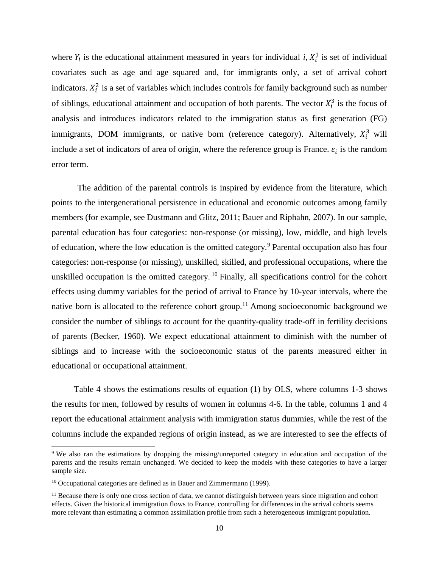where  $Y_i$  is the educational attainment measured in years for individual *i*,  $X_i^1$  is set of individual covariates such as age and age squared and, for immigrants only, a set of arrival cohort indicators.  $X_i^2$  is a set of variables which includes controls for family background such as number of siblings, educational attainment and occupation of both parents. The vector  $X_i^3$  is the focus of analysis and introduces indicators related to the immigration status as first generation (FG) immigrants, DOM immigrants, or native born (reference category). Alternatively,  $X_i^3$  will include a set of indicators of area of origin, where the reference group is France.  $\varepsilon_i$  is the random error term.

The addition of the parental controls is inspired by evidence from the literature, which points to the intergenerational persistence in educational and economic outcomes among family members (for example, see Dustmann and Glitz, 2011; Bauer and Riphahn, 2007). In our sample, parental education has four categories: non-response (or missing), low, middle, and high levels of education, where the low education is the omitted category.<sup>9</sup> Parental occupation also has four categories: non-response (or missing), unskilled, skilled, and professional occupations, where the unskilled occupation is the omitted category.<sup>10</sup> Finally, all specifications control for the cohort effects using dummy variables for the period of arrival to France by 10-year intervals, where the native born is allocated to the reference cohort group.<sup>11</sup> Among socioeconomic background we consider the number of siblings to account for the quantity-quality trade-off in fertility decisions of parents (Becker, 1960). We expect educational attainment to diminish with the number of siblings and to increase with the socioeconomic status of the parents measured either in educational or occupational attainment.

[Table 4](#page-33-0) shows the estimations results of equation (1) by OLS, where columns 1-3 shows the results for men, followed by results of women in columns 4-6. In the table, columns 1 and 4 report the educational attainment analysis with immigration status dummies, while the rest of the columns include the expanded regions of origin instead, as we are interested to see the effects of

 $\overline{\phantom{a}}$ 

<sup>9</sup> We also ran the estimations by dropping the missing/unreported category in education and occupation of the parents and the results remain unchanged. We decided to keep the models with these categories to have a larger sample size.

<sup>&</sup>lt;sup>10</sup> Occupational categories are defined as in Bauer and Zimmermann (1999).

 $11$  Because there is only one cross section of data, we cannot distinguish between years since migration and cohort effects. Given the historical immigration flows to France, controlling for differences in the arrival cohorts seems more relevant than estimating a common assimilation profile from such a heterogeneous immigrant population.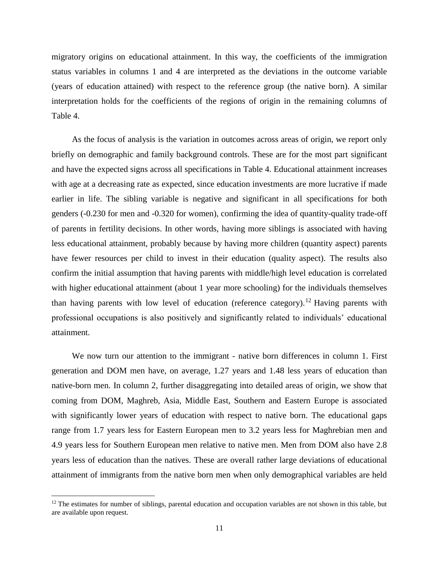migratory origins on educational attainment. In this way, the coefficients of the immigration status variables in columns 1 and 4 are interpreted as the deviations in the outcome variable (years of education attained) with respect to the reference group (the native born). A similar interpretation holds for the coefficients of the regions of origin in the remaining columns of [Table 4.](#page-33-0)

As the focus of analysis is the variation in outcomes across areas of origin, we report only briefly on demographic and family background controls. These are for the most part significant and have the expected signs across all specifications in Table 4. Educational attainment increases with age at a decreasing rate as expected, since education investments are more lucrative if made earlier in life. The sibling variable is negative and significant in all specifications for both genders (-0.230 for men and -0.320 for women), confirming the idea of quantity-quality trade-off of parents in fertility decisions. In other words, having more siblings is associated with having less educational attainment, probably because by having more children (quantity aspect) parents have fewer resources per child to invest in their education (quality aspect). The results also confirm the initial assumption that having parents with middle/high level education is correlated with higher educational attainment (about 1 year more schooling) for the individuals themselves than having parents with low level of education (reference category).<sup>12</sup> Having parents with professional occupations is also positively and significantly related to individuals' educational attainment.

We now turn our attention to the immigrant - native born differences in column 1. First generation and DOM men have, on average, 1.27 years and 1.48 less years of education than native-born men. In column 2, further disaggregating into detailed areas of origin, we show that coming from DOM, Maghreb, Asia, Middle East, Southern and Eastern Europe is associated with significantly lower years of education with respect to native born. The educational gaps range from 1.7 years less for Eastern European men to 3.2 years less for Maghrebian men and 4.9 years less for Southern European men relative to native men. Men from DOM also have 2.8 years less of education than the natives. These are overall rather large deviations of educational attainment of immigrants from the native born men when only demographical variables are held

 $\overline{\phantom{a}}$ 

 $12$  The estimates for number of siblings, parental education and occupation variables are not shown in this table, but are available upon request.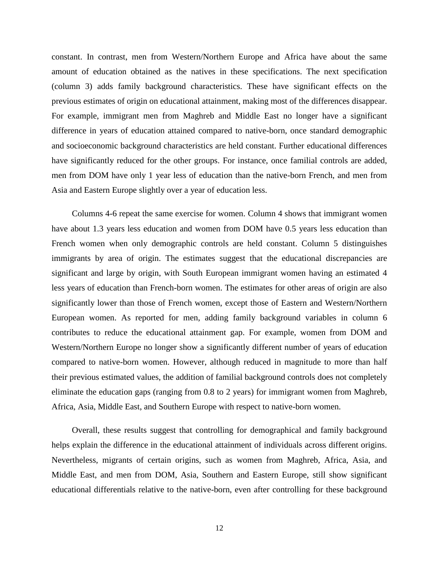constant. In contrast, men from Western/Northern Europe and Africa have about the same amount of education obtained as the natives in these specifications. The next specification (column 3) adds family background characteristics. These have significant effects on the previous estimates of origin on educational attainment, making most of the differences disappear. For example, immigrant men from Maghreb and Middle East no longer have a significant difference in years of education attained compared to native-born, once standard demographic and socioeconomic background characteristics are held constant. Further educational differences have significantly reduced for the other groups. For instance, once familial controls are added, men from DOM have only 1 year less of education than the native-born French, and men from Asia and Eastern Europe slightly over a year of education less.

Columns 4-6 repeat the same exercise for women. Column 4 shows that immigrant women have about 1.3 years less education and women from DOM have 0.5 years less education than French women when only demographic controls are held constant. Column 5 distinguishes immigrants by area of origin. The estimates suggest that the educational discrepancies are significant and large by origin, with South European immigrant women having an estimated 4 less years of education than French-born women. The estimates for other areas of origin are also significantly lower than those of French women, except those of Eastern and Western/Northern European women. As reported for men, adding family background variables in column 6 contributes to reduce the educational attainment gap. For example, women from DOM and Western/Northern Europe no longer show a significantly different number of years of education compared to native-born women. However, although reduced in magnitude to more than half their previous estimated values, the addition of familial background controls does not completely eliminate the education gaps (ranging from 0.8 to 2 years) for immigrant women from Maghreb, Africa, Asia, Middle East, and Southern Europe with respect to native-born women.

Overall, these results suggest that controlling for demographical and family background helps explain the difference in the educational attainment of individuals across different origins. Nevertheless, migrants of certain origins, such as women from Maghreb, Africa, Asia, and Middle East, and men from DOM, Asia, Southern and Eastern Europe, still show significant educational differentials relative to the native-born, even after controlling for these background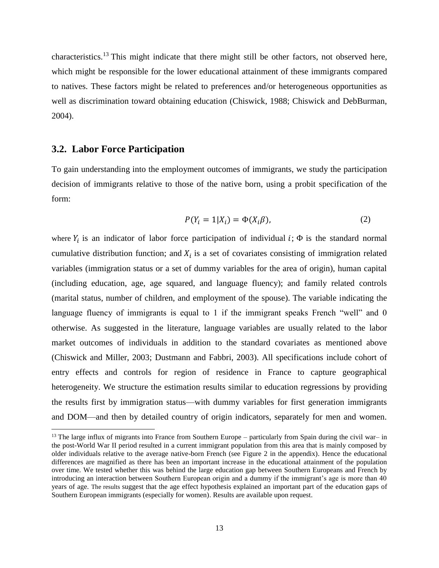characteristics.<sup>13</sup> This might indicate that there might still be other factors, not observed here, which might be responsible for the lower educational attainment of these immigrants compared to natives. These factors might be related to preferences and/or heterogeneous opportunities as well as discrimination toward obtaining education (Chiswick, 1988; Chiswick and DebBurman, 2004).

#### **3.2. Labor Force Participation**

 $\overline{\phantom{a}}$ 

To gain understanding into the employment outcomes of immigrants, we study the participation decision of immigrants relative to those of the native born, using a probit specification of the form:

$$
P(Y_i = 1 | X_i) = \Phi(X_i \beta), \tag{2}
$$

where  $Y_i$  is an indicator of labor force participation of individual  $i$ ;  $\Phi$  is the standard normal cumulative distribution function; and  $X_i$  is a set of covariates consisting of immigration related variables (immigration status or a set of dummy variables for the area of origin), human capital (including education, age, age squared, and language fluency); and family related controls (marital status, number of children, and employment of the spouse). The variable indicating the language fluency of immigrants is equal to 1 if the immigrant speaks French "well" and 0 otherwise. As suggested in the literature, language variables are usually related to the labor market outcomes of individuals in addition to the standard covariates as mentioned above (Chiswick and Miller, 2003; Dustmann and Fabbri, 2003). All specifications include cohort of entry effects and controls for region of residence in France to capture geographical heterogeneity. We structure the estimation results similar to education regressions by providing the results first by immigration status—with dummy variables for first generation immigrants and DOM—and then by detailed country of origin indicators, separately for men and women.

 $13$  The large influx of migrants into France from Southern Europe – particularly from Spain during the civil war– in the post-World War II period resulted in a current immigrant population from this area that is mainly composed by older individuals relative to the average native-born French (see Figure 2 in the appendix). Hence the educational differences are magnified as there has been an important increase in the educational attainment of the population over time. We tested whether this was behind the large education gap between Southern Europeans and French by introducing an interaction between Southern European origin and a dummy if the immigrant's age is more than 40 years of age. The results suggest that the age effect hypothesis explained an important part of the education gaps of Southern European immigrants (especially for women). Results are available upon request.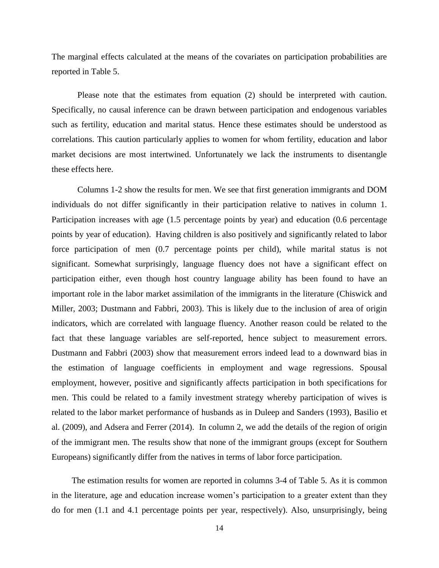The marginal effects calculated at the means of the covariates on participation probabilities are reported in [Table 5.](#page-34-0)

Please note that the estimates from equation (2) should be interpreted with caution. Specifically, no causal inference can be drawn between participation and endogenous variables such as fertility, education and marital status. Hence these estimates should be understood as correlations. This caution particularly applies to women for whom fertility, education and labor market decisions are most intertwined. Unfortunately we lack the instruments to disentangle these effects here.

Columns 1-2 show the results for men. We see that first generation immigrants and DOM individuals do not differ significantly in their participation relative to natives in column 1. Participation increases with age (1.5 percentage points by year) and education (0.6 percentage points by year of education). Having children is also positively and significantly related to labor force participation of men (0.7 percentage points per child), while marital status is not significant. Somewhat surprisingly, language fluency does not have a significant effect on participation either, even though host country language ability has been found to have an important role in the labor market assimilation of the immigrants in the literature (Chiswick and Miller, 2003; Dustmann and Fabbri, 2003). This is likely due to the inclusion of area of origin indicators, which are correlated with language fluency. Another reason could be related to the fact that these language variables are self-reported, hence subject to measurement errors. Dustmann and Fabbri (2003) show that measurement errors indeed lead to a downward bias in the estimation of language coefficients in employment and wage regressions. Spousal employment, however, positive and significantly affects participation in both specifications for men. This could be related to a family investment strategy whereby participation of wives is related to the labor market performance of husbands as in Duleep and Sanders (1993), Basilio et al. (2009), and Adsera and Ferrer (2014). In column 2, we add the details of the region of origin of the immigrant men. The results show that none of the immigrant groups (except for Southern Europeans) significantly differ from the natives in terms of labor force participation.

The estimation results for women are reported in columns 3-4 of [Table 5.](#page-34-0) As it is common in the literature, age and education increase women's participation to a greater extent than they do for men (1.1 and 4.1 percentage points per year, respectively). Also, unsurprisingly, being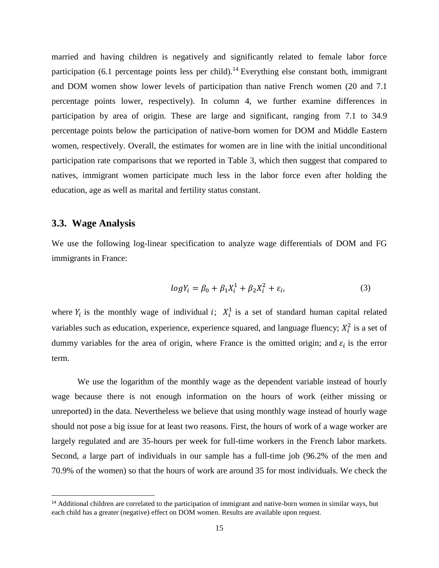married and having children is negatively and significantly related to female labor force participation (6.1 percentage points less per child).<sup>14</sup> Everything else constant both, immigrant and DOM women show lower levels of participation than native French women (20 and 7.1 percentage points lower, respectively). In column 4, we further examine differences in participation by area of origin. These are large and significant, ranging from 7.1 to 34.9 percentage points below the participation of native-born women for DOM and Middle Eastern women, respectively. Overall, the estimates for women are in line with the initial unconditional participation rate comparisons that we reported in Table 3, which then suggest that compared to natives, immigrant women participate much less in the labor force even after holding the education, age as well as marital and fertility status constant.

### **3.3. Wage Analysis**

l

We use the following log-linear specification to analyze wage differentials of DOM and FG immigrants in France:

$$
logY_i = \beta_0 + \beta_1 X_i^1 + \beta_2 X_i^2 + \varepsilon_i,\tag{3}
$$

where  $Y_i$  is the monthly wage of individual *i*;  $X_i^1$  is a set of standard human capital related variables such as education, experience, experience squared, and language fluency;  $X_i^2$  is a set of dummy variables for the area of origin, where France is the omitted origin; and  $\varepsilon_i$  is the error term.

We use the logarithm of the monthly wage as the dependent variable instead of hourly wage because there is not enough information on the hours of work (either missing or unreported) in the data. Nevertheless we believe that using monthly wage instead of hourly wage should not pose a big issue for at least two reasons. First, the hours of work of a wage worker are largely regulated and are 35-hours per week for full-time workers in the French labor markets. Second, a large part of individuals in our sample has a full-time job (96.2% of the men and 70.9% of the women) so that the hours of work are around 35 for most individuals. We check the

<sup>&</sup>lt;sup>14</sup> Additional children are correlated to the participation of immigrant and native-born women in similar ways, but each child has a greater (negative) effect on DOM women. Results are available upon request.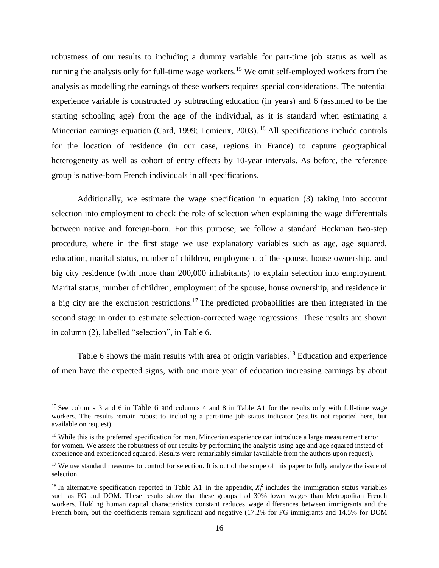robustness of our results to including a dummy variable for part-time job status as well as running the analysis only for full-time wage workers.<sup>15</sup> We omit self-employed workers from the analysis as modelling the earnings of these workers requires special considerations. The potential experience variable is constructed by subtracting education (in years) and 6 (assumed to be the starting schooling age) from the age of the individual, as it is standard when estimating a Mincerian earnings equation (Card, 1999; Lemieux, 2003).<sup>16</sup> All specifications include controls for the location of residence (in our case, regions in France) to capture geographical heterogeneity as well as cohort of entry effects by 10-year intervals. As before, the reference group is native-born French individuals in all specifications.

Additionally, we estimate the wage specification in equation (3) taking into account selection into employment to check the role of selection when explaining the wage differentials between native and foreign-born. For this purpose, we follow a standard Heckman two-step procedure, where in the first stage we use explanatory variables such as age, age squared, education, marital status, number of children, employment of the spouse, house ownership, and big city residence (with more than 200,000 inhabitants) to explain selection into employment. Marital status, number of children, employment of the spouse, house ownership, and residence in a big city are the exclusion restrictions.<sup>17</sup> The predicted probabilities are then integrated in the second stage in order to estimate selection-corrected wage regressions. These results are shown in column (2), labelled "selection", in Table 6.

[Table 6](#page-35-0) shows the main results with area of origin variables.<sup>18</sup> Education and experience of men have the expected signs, with one more year of education increasing earnings by about

 $\overline{\phantom{a}}$ 

<sup>15</sup> See columns 3 and 6 in [Table 6](#page-35-0) and columns 4 and 8 in [Table A1](#page-40-0) for the results only with full-time wage workers. The results remain robust to including a part-time job status indicator (results not reported here, but available on request).

<sup>&</sup>lt;sup>16</sup> While this is the preferred specification for men, Mincerian experience can introduce a large measurement error for women. We assess the robustness of our results by performing the analysis using age and age squared instead of experience and experienced squared. Results were remarkably similar (available from the authors upon request).

<sup>&</sup>lt;sup>17</sup> We use standard measures to control for selection. It is out of the scope of this paper to fully analyze the issue of selection.

<sup>&</sup>lt;sup>18</sup> In alternative specification reported in [Table A1](#page-40-0) in the appendix,  $X_i^2$  includes the immigration status variables such as FG and DOM. These results show that these groups had 30% lower wages than Metropolitan French workers. Holding human capital characteristics constant reduces wage differences between immigrants and the French born, but the coefficients remain significant and negative (17.2% for FG immigrants and 14.5% for DOM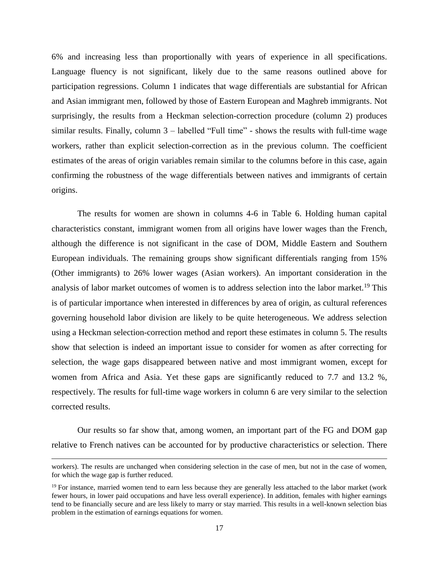6% and increasing less than proportionally with years of experience in all specifications. Language fluency is not significant, likely due to the same reasons outlined above for participation regressions. Column 1 indicates that wage differentials are substantial for African and Asian immigrant men, followed by those of Eastern European and Maghreb immigrants. Not surprisingly, the results from a Heckman selection-correction procedure (column 2) produces similar results. Finally, column 3 – labelled "Full time" - shows the results with full-time wage workers, rather than explicit selection-correction as in the previous column. The coefficient estimates of the areas of origin variables remain similar to the columns before in this case, again confirming the robustness of the wage differentials between natives and immigrants of certain origins.

The results for women are shown in columns 4-6 in [Table 6.](#page-35-0) Holding human capital characteristics constant, immigrant women from all origins have lower wages than the French, although the difference is not significant in the case of DOM, Middle Eastern and Southern European individuals. The remaining groups show significant differentials ranging from 15% (Other immigrants) to 26% lower wages (Asian workers). An important consideration in the analysis of labor market outcomes of women is to address selection into the labor market.<sup>19</sup> This is of particular importance when interested in differences by area of origin, as cultural references governing household labor division are likely to be quite heterogeneous. We address selection using a Heckman selection-correction method and report these estimates in column 5. The results show that selection is indeed an important issue to consider for women as after correcting for selection, the wage gaps disappeared between native and most immigrant women, except for women from Africa and Asia. Yet these gaps are significantly reduced to 7.7 and 13.2 %, respectively. The results for full-time wage workers in column 6 are very similar to the selection corrected results.

Our results so far show that, among women, an important part of the FG and DOM gap relative to French natives can be accounted for by productive characteristics or selection. There

l

workers). The results are unchanged when considering selection in the case of men, but not in the case of women, for which the wage gap is further reduced.

<sup>&</sup>lt;sup>19</sup> For instance, married women tend to earn less because they are generally less attached to the labor market (work fewer hours, in lower paid occupations and have less overall experience). In addition, females with higher earnings tend to be financially secure and are less likely to marry or stay married. This results in a well-known selection bias problem in the estimation of earnings equations for women.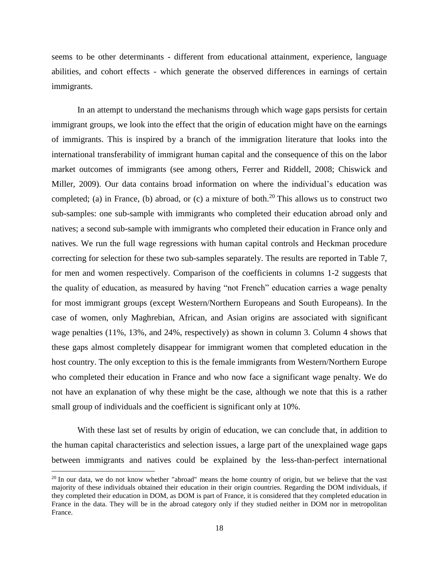seems to be other determinants - different from educational attainment, experience, language abilities, and cohort effects - which generate the observed differences in earnings of certain immigrants.

In an attempt to understand the mechanisms through which wage gaps persists for certain immigrant groups, we look into the effect that the origin of education might have on the earnings of immigrants. This is inspired by a branch of the immigration literature that looks into the international transferability of immigrant human capital and the consequence of this on the labor market outcomes of immigrants (see among others, Ferrer and Riddell, 2008; Chiswick and Miller, 2009). Our data contains broad information on where the individual's education was completed; (a) in France, (b) abroad, or (c) a mixture of both.<sup>20</sup> This allows us to construct two sub-samples: one sub-sample with immigrants who completed their education abroad only and natives; a second sub-sample with immigrants who completed their education in France only and natives. We run the full wage regressions with human capital controls and Heckman procedure correcting for selection for these two sub-samples separately. The results are reported in [Table 7,](#page-36-0) for men and women respectively. Comparison of the coefficients in columns 1-2 suggests that the quality of education, as measured by having "not French" education carries a wage penalty for most immigrant groups (except Western/Northern Europeans and South Europeans). In the case of women, only Maghrebian, African, and Asian origins are associated with significant wage penalties (11%, 13%, and 24%, respectively) as shown in column 3. Column 4 shows that these gaps almost completely disappear for immigrant women that completed education in the host country. The only exception to this is the female immigrants from Western/Northern Europe who completed their education in France and who now face a significant wage penalty. We do not have an explanation of why these might be the case, although we note that this is a rather small group of individuals and the coefficient is significant only at 10%.

With these last set of results by origin of education, we can conclude that, in addition to the human capital characteristics and selection issues, a large part of the unexplained wage gaps between immigrants and natives could be explained by the less-than-perfect international

 $\overline{a}$ 

<sup>&</sup>lt;sup>20</sup> In our data, we do not know whether "abroad" means the home country of origin, but we believe that the vast majority of these individuals obtained their education in their origin countries. Regarding the DOM individuals, if they completed their education in DOM, as DOM is part of France, it is considered that they completed education in France in the data. They will be in the abroad category only if they studied neither in DOM nor in metropolitan France.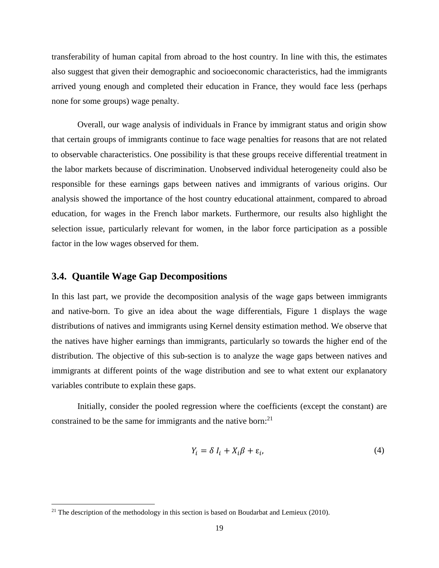transferability of human capital from abroad to the host country. In line with this, the estimates also suggest that given their demographic and socioeconomic characteristics, had the immigrants arrived young enough and completed their education in France, they would face less (perhaps none for some groups) wage penalty.

Overall, our wage analysis of individuals in France by immigrant status and origin show that certain groups of immigrants continue to face wage penalties for reasons that are not related to observable characteristics. One possibility is that these groups receive differential treatment in the labor markets because of discrimination. Unobserved individual heterogeneity could also be responsible for these earnings gaps between natives and immigrants of various origins. Our analysis showed the importance of the host country educational attainment, compared to abroad education, for wages in the French labor markets. Furthermore, our results also highlight the selection issue, particularly relevant for women, in the labor force participation as a possible factor in the low wages observed for them.

#### **3.4. Quantile Wage Gap Decompositions**

 $\overline{\phantom{a}}$ 

In this last part, we provide the decomposition analysis of the wage gaps between immigrants and native-born. To give an idea about the wage differentials, [Figure 1](#page-38-0) displays the wage distributions of natives and immigrants using Kernel density estimation method. We observe that the natives have higher earnings than immigrants, particularly so towards the higher end of the distribution. The objective of this sub-section is to analyze the wage gaps between natives and immigrants at different points of the wage distribution and see to what extent our explanatory variables contribute to explain these gaps.

Initially, consider the pooled regression where the coefficients (except the constant) are constrained to be the same for immigrants and the native born: $^{21}$ 

$$
Y_i = \delta I_i + X_i \beta + \varepsilon_i, \tag{4}
$$

 $21$  The description of the methodology in this section is based on Boudarbat and Lemieux (2010).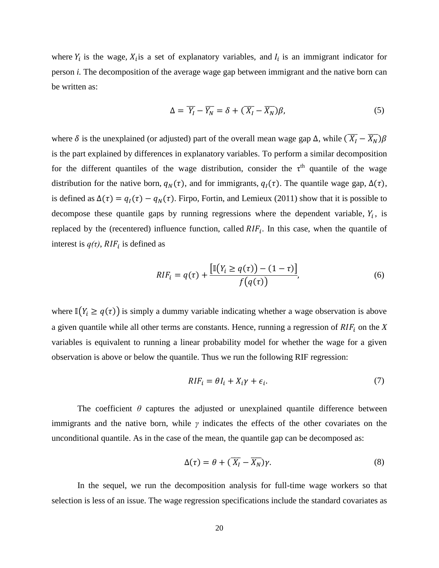where  $Y_i$  is the wage,  $X_i$  is a set of explanatory variables, and  $I_i$  is an immigrant indicator for person *i.* The decomposition of the average wage gap between immigrant and the native born can be written as:

$$
\Delta = \overline{Y_I} - \overline{Y_N} = \delta + (\overline{X_I} - \overline{X_N})\beta,\tag{5}
$$

where  $\delta$  is the unexplained (or adjusted) part of the overall mean wage gap  $\Delta$ , while  $(\overline{X_I} - \overline{X_N})\beta$ is the part explained by differences in explanatory variables. To perform a similar decomposition for the different quantiles of the wage distribution, consider the  $\tau^{th}$  quantile of the wage distribution for the native born,  $q_N(\tau)$ , and for immigrants,  $q_I(\tau)$ . The quantile wage gap,  $\Delta(\tau)$ , is defined as  $\Delta(\tau) = q_I(\tau) - q_N(\tau)$ . Firpo, Fortin, and Lemieux (2011) show that it is possible to decompose these quantile gaps by running regressions where the dependent variable,  $Y_i$ , is replaced by the (recentered) influence function, called  $RIF_i$ . In this case, when the quantile of interest is  $q(\tau)$ ,  $RIF_i$  is defined as

$$
RIF_i = q(\tau) + \frac{\left[\mathbb{I}\left(Y_i \ge q(\tau)\right) - (1 - \tau)\right]}{f(q(\tau))},\tag{6}
$$

where  $\mathbb{I}(Y_i \geq q(\tau))$  is simply a dummy variable indicating whether a wage observation is above a given quantile while all other terms are constants. Hence, running a regression of  $RIF<sub>i</sub>$  on the *X* variables is equivalent to running a linear probability model for whether the wage for a given observation is above or below the quantile. Thus we run the following RIF regression:

$$
RIF_i = \theta I_i + X_i \gamma + \epsilon_i. \tag{7}
$$

The coefficient  $\theta$  captures the adjusted or unexplained quantile difference between immigrants and the native born, while *γ* indicates the effects of the other covariates on the unconditional quantile. As in the case of the mean, the quantile gap can be decomposed as:

$$
\Delta(\tau) = \theta + (\overline{X_I} - \overline{X_N})\gamma. \tag{8}
$$

In the sequel, we run the decomposition analysis for full-time wage workers so that selection is less of an issue. The wage regression specifications include the standard covariates as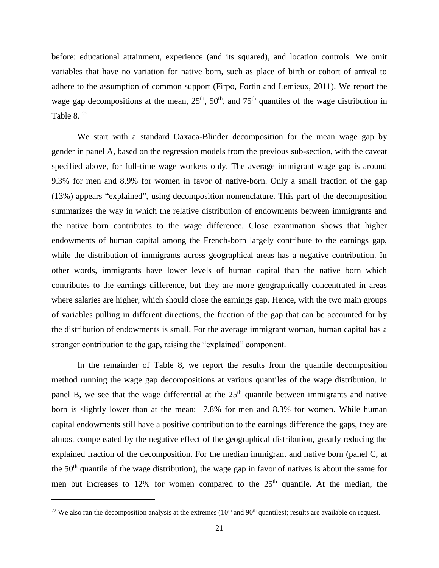before: educational attainment, experience (and its squared), and location controls. We omit variables that have no variation for native born, such as place of birth or cohort of arrival to adhere to the assumption of common support (Firpo, Fortin and Lemieux, 2011). We report the wage gap decompositions at the mean,  $25<sup>th</sup>$ ,  $50<sup>th</sup>$ , and  $75<sup>th</sup>$  quantiles of the wage distribution in [Table 8.](#page-37-0) $^{22}$ 

We start with a standard Oaxaca-Blinder decomposition for the mean wage gap by gender in panel A, based on the regression models from the previous sub-section, with the caveat specified above, for full-time wage workers only. The average immigrant wage gap is around 9.3% for men and 8.9% for women in favor of native-born. Only a small fraction of the gap (13%) appears "explained", using decomposition nomenclature. This part of the decomposition summarizes the way in which the relative distribution of endowments between immigrants and the native born contributes to the wage difference. Close examination shows that higher endowments of human capital among the French-born largely contribute to the earnings gap, while the distribution of immigrants across geographical areas has a negative contribution. In other words, immigrants have lower levels of human capital than the native born which contributes to the earnings difference, but they are more geographically concentrated in areas where salaries are higher, which should close the earnings gap. Hence, with the two main groups of variables pulling in different directions, the fraction of the gap that can be accounted for by the distribution of endowments is small. For the average immigrant woman, human capital has a stronger contribution to the gap, raising the "explained" component.

In the remainder of [Table 8,](#page-37-0) we report the results from the quantile decomposition method running the wage gap decompositions at various quantiles of the wage distribution. In panel B, we see that the wage differential at the  $25<sup>th</sup>$  quantile between immigrants and native born is slightly lower than at the mean: 7.8% for men and 8.3% for women. While human capital endowments still have a positive contribution to the earnings difference the gaps, they are almost compensated by the negative effect of the geographical distribution, greatly reducing the explained fraction of the decomposition. For the median immigrant and native born (panel C, at the 50th quantile of the wage distribution), the wage gap in favor of natives is about the same for men but increases to 12% for women compared to the  $25<sup>th</sup>$  quantile. At the median, the

 $\overline{\phantom{a}}$ 

<sup>&</sup>lt;sup>22</sup> We also ran the decomposition analysis at the extremes  $(10<sup>th</sup>$  and  $90<sup>th</sup>$  quantiles); results are available on request.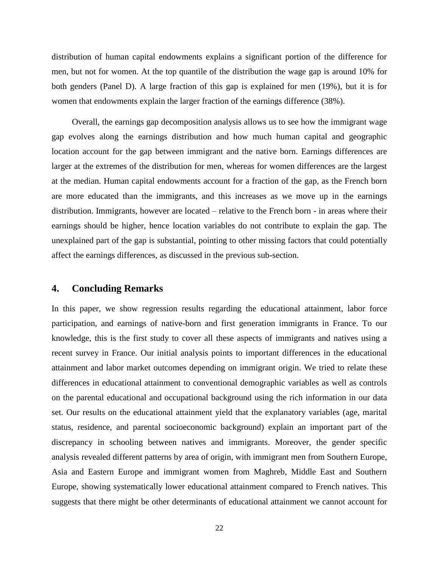distribution of human capital endowments explains a significant portion of the difference for men, but not for women. At the top quantile of the distribution the wage gap is around 10% for both genders (Panel D). A large fraction of this gap is explained for men (19%), but it is for women that endowments explain the larger fraction of the earnings difference (38%).

Overall, the earnings gap decomposition analysis allows us to see how the immigrant wage gap evolves along the earnings distribution and how much human capital and geographic location account for the gap between immigrant and the native born. Earnings differences are larger at the extremes of the distribution for men, whereas for women differences are the largest at the median. Human capital endowments account for a fraction of the gap, as the French born are more educated than the immigrants, and this increases as we move up in the earnings distribution. Immigrants, however are located – relative to the French born - in areas where their earnings should be higher, hence location variables do not contribute to explain the gap. The unexplained part of the gap is substantial, pointing to other missing factors that could potentially affect the earnings differences, as discussed in the previous sub-section.

#### **4. Concluding Remarks**

In this paper, we show regression results regarding the educational attainment, labor force participation, and earnings of native-born and first generation immigrants in France. To our knowledge, this is the first study to cover all these aspects of immigrants and natives using a recent survey in France. Our initial analysis points to important differences in the educational attainment and labor market outcomes depending on immigrant origin. We tried to relate these differences in educational attainment to conventional demographic variables as well as controls on the parental educational and occupational background using the rich information in our data set. Our results on the educational attainment yield that the explanatory variables (age, marital status, residence, and parental socioeconomic background) explain an important part of the discrepancy in schooling between natives and immigrants. Moreover, the gender specific analysis revealed different patterns by area of origin, with immigrant men from Southern Europe, Asia and Eastern Europe and immigrant women from Maghreb, Middle East and Southern Europe, showing systematically lower educational attainment compared to French natives. This suggests that there might be other determinants of educational attainment we cannot account for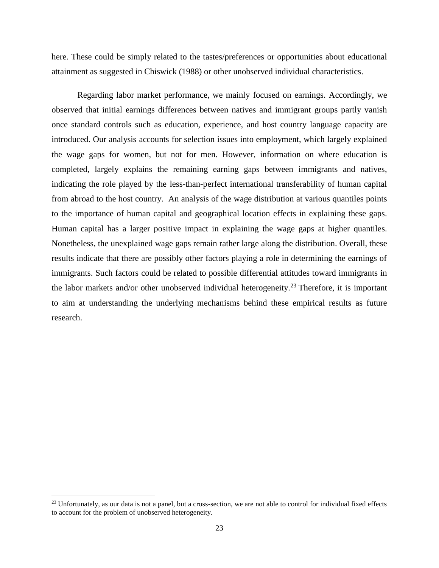here. These could be simply related to the tastes/preferences or opportunities about educational attainment as suggested in Chiswick (1988) or other unobserved individual characteristics.

Regarding labor market performance, we mainly focused on earnings. Accordingly, we observed that initial earnings differences between natives and immigrant groups partly vanish once standard controls such as education, experience, and host country language capacity are introduced. Our analysis accounts for selection issues into employment, which largely explained the wage gaps for women, but not for men. However, information on where education is completed, largely explains the remaining earning gaps between immigrants and natives, indicating the role played by the less-than-perfect international transferability of human capital from abroad to the host country. An analysis of the wage distribution at various quantiles points to the importance of human capital and geographical location effects in explaining these gaps. Human capital has a larger positive impact in explaining the wage gaps at higher quantiles. Nonetheless, the unexplained wage gaps remain rather large along the distribution. Overall, these results indicate that there are possibly other factors playing a role in determining the earnings of immigrants. Such factors could be related to possible differential attitudes toward immigrants in the labor markets and/or other unobserved individual heterogeneity.<sup>23</sup> Therefore, it is important to aim at understanding the underlying mechanisms behind these empirical results as future research.

 $\overline{\phantom{a}}$ 

 $^{23}$  Unfortunately, as our data is not a panel, but a cross-section, we are not able to control for individual fixed effects to account for the problem of unobserved heterogeneity.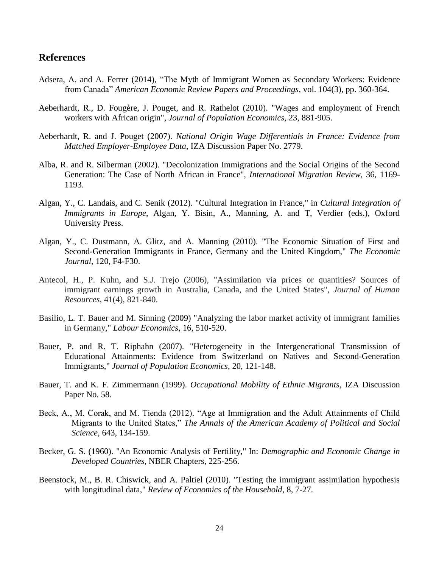#### **References**

- Adsera, A. and A. Ferrer (2014), "The Myth of Immigrant Women as Secondary Workers: Evidence from Canada" *American Economic Review Papers and Proceedings*, vol. 104(3), pp. 360-364.
- Aeberhardt, R., D. Fougère, J. Pouget, and R. Rathelot (2010). "Wages and employment of French workers with African origin", *Journal of Population Economics,* 23, 881-905.
- Aeberhardt, R. and J. Pouget (2007). *National Origin Wage Differentials in France: Evidence from Matched Employer-Employee Data*, IZA Discussion Paper No. 2779.
- Alba, R. and R. Silberman (2002). "Decolonization Immigrations and the Social Origins of the Second Generation: The Case of North African in France", *International Migration Review,* 36, 1169- 1193.
- Algan, Y., C. Landais, and C. Senik (2012). "Cultural Integration in France," in *Cultural Integration of Immigrants in Europe*, Algan, Y. Bisin, A., Manning, A. and T, Verdier (eds.), Oxford University Press.
- Algan, Y., C. Dustmann, A. Glitz, and A. Manning (2010). "The Economic Situation of First and Second-Generation Immigrants in France, Germany and the United Kingdom," *The Economic Journal*, 120, F4-F30.
- Antecol, H., P. Kuhn, and S.J. Trejo (2006), "Assimilation via prices or quantities? Sources of immigrant earnings growth in Australia, Canada, and the United States", *Journal of Human Resources*, 41(4), 821-840.
- Basilio, L. T. Bauer and M. Sinning (2009) "Analyzing the labor market activity of immigrant families in Germany," *Labour Economics*, 16, 510-520.
- Bauer, P. and R. T. Riphahn (2007). "Heterogeneity in the Intergenerational Transmission of Educational Attainments: Evidence from Switzerland on Natives and Second-Generation Immigrants," *Journal of Population Economics*, 20, 121-148.
- Bauer, T. and K. F. Zimmermann (1999). *Occupational Mobility of Ethnic Migrants*, IZA Discussion Paper No. 58.
- Beck, A., M. Corak, and M. Tienda (2012). "Age at Immigration and the Adult Attainments of Child Migrants to the United States," *The Annals of the American Academy of Political and Social Science*, 643, 134-159.
- Becker, G. S. (1960). "An Economic Analysis of Fertility," In: *Demographic and Economic Change in Developed Countries*, NBER Chapters, 225-256.
- Beenstock, M., B. R. Chiswick, and A. Paltiel (2010). "Testing the immigrant assimilation hypothesis with longitudinal data," *Review of Economics of the Household*, 8, 7-27.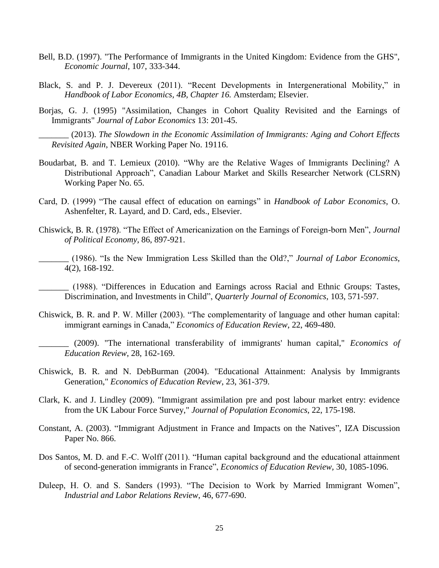- Bell, B.D. (1997). "The Performance of Immigrants in the United Kingdom: Evidence from the GHS", *Economic Journal*, 107, 333-344.
- Black, S. and P. J. Devereux (2011). "Recent Developments in Intergenerational Mobility," in *Handbook of Labor Economics, 4B, Chapter 16.* Amsterdam; Elsevier.
- Borjas, G. J. (1995) "Assimilation, Changes in Cohort Quality Revisited and the Earnings of Immigrants" *Journal of Labor Economics* 13: 201-45.

\_\_\_\_\_\_\_ (2013). *The Slowdown in the Economic Assimilation of Immigrants: Aging and Cohort Effects Revisited Again*, NBER Working Paper No. 19116.

- Boudarbat, B. and T. Lemieux (2010). "Why are the Relative Wages of Immigrants Declining? A Distributional Approach", Canadian Labour Market and Skills Researcher Network (CLSRN) Working Paper No. 65.
- Card, D. (1999) "The causal effect of education on earnings" in *Handbook of Labor Economics*, O. Ashenfelter, R. Layard, and D. Card, eds., Elsevier.
- Chiswick, B. R. (1978). "The Effect of Americanization on the Earnings of Foreign-born Men", *Journal of Political Economy,* 86, 897-921.
	- \_\_\_\_\_\_\_ (1986). "Is the New Immigration Less Skilled than the Old?," *Journal of Labor Economics,*  4(2), 168-192.

\_\_\_\_\_\_\_ (1988). "Differences in Education and Earnings across Racial and Ethnic Groups: Tastes, Discrimination, and Investments in Child", *Quarterly Journal of Economics*, 103, 571-597.

Chiswick, B. R. and P. W. Miller (2003). "The complementarity of language and other human capital: immigrant earnings in Canada," *Economics of Education Review*, 22, 469-480.

\_\_\_\_\_\_\_ (2009). "The international transferability of immigrants' human capital," *Economics of Education Review*, 28, 162-169.

- Chiswick, B. R. and N. DebBurman (2004). "Educational Attainment: Analysis by Immigrants Generation," *Economics of Education Review*, 23, 361-379.
- Clark, K. and J. Lindley (2009). "Immigrant assimilation pre and post labour market entry: evidence from the UK Labour Force Survey," *Journal of Population Economics*, 22, 175-198.
- Constant, A. (2003). "Immigrant Adjustment in France and Impacts on the Natives", IZA Discussion Paper No. 866.
- Dos Santos, M. D. and F.-C. Wolff (2011). "Human capital background and the educational attainment of second-generation immigrants in France", *Economics of Education Review,* 30, 1085-1096.
- Duleep, H. O. and S. Sanders (1993). "The Decision to Work by Married Immigrant Women", *Industrial and Labor Relations Review*, 46, 677-690.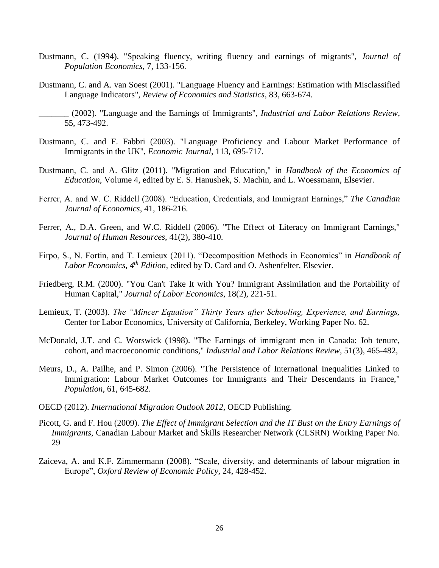- Dustmann, C. (1994). "Speaking fluency, writing fluency and earnings of migrants", *Journal of Population Economics*, 7, 133-156.
- Dustmann, C. and A. van Soest (2001). "Language Fluency and Earnings: Estimation with Misclassified Language Indicators", *Review of Economics and Statistics*, 83, 663-674.

- Dustmann, C. and F. Fabbri (2003). "Language Proficiency and Labour Market Performance of Immigrants in the UK", *Economic Journal,* 113, 695-717.
- Dustmann, C. and A. Glitz (2011). "Migration and Education," in *Handbook of the Economics of Education*, Volume 4, edited by E. S. Hanushek, S. Machin, and L. Woessmann, Elsevier.
- Ferrer, A. and W. C. Riddell (2008). "Education, Credentials, and Immigrant Earnings," *The Canadian Journal of Economics*, 41, 186-216.
- Ferrer, A., D.A. Green, and W.C. Riddell (2006). "The Effect of Literacy on Immigrant Earnings," *Journal of Human Resources*, 41(2), 380-410.
- Firpo, S., N. Fortin, and T. Lemieux (2011). "Decomposition Methods in Economics" in *Handbook of Labor Economics, 4th Edition,* edited by D. Card and O. Ashenfelter, Elsevier.
- Friedberg, R.M. (2000). "You Can't Take It with You? Immigrant Assimilation and the Portability of Human Capital," *Journal of Labor Economics*, 18(2), 221-51.
- Lemieux, T. (2003). *The "Mincer Equation" Thirty Years after Schooling, Experience, and Earnings,*  Center for Labor Economics, University of California, Berkeley, Working Paper No. 62.
- McDonald, J.T. and C. Worswick (1998). "The Earnings of immigrant men in Canada: Job tenure, cohort, and macroeconomic conditions," *Industrial and Labor Relations Review*, 51(3), 465-482,
- Meurs, D., A. Pailhe, and P. Simon (2006). "The Persistence of International Inequalities Linked to Immigration: Labour Market Outcomes for Immigrants and Their Descendants in France," *Population*, 61, 645-682.
- OECD (2012). *International Migration Outlook 2012*, OECD Publishing.
- Picott, G. and F. Hou (2009). *The Effect of Immigrant Selection and the IT Bust on the Entry Earnings of Immigrants*, Canadian Labour Market and Skills Researcher Network (CLSRN) Working Paper No. 29
- Zaiceva, A. and K.F. Zimmermann (2008). "Scale, diversity, and determinants of labour migration in Europe", *Oxford Review of Economic Policy,* 24, 428-452.

\_\_\_\_\_\_\_ (2002). "Language and the Earnings of Immigrants", *Industrial and Labor Relations Review*, 55, 473-492.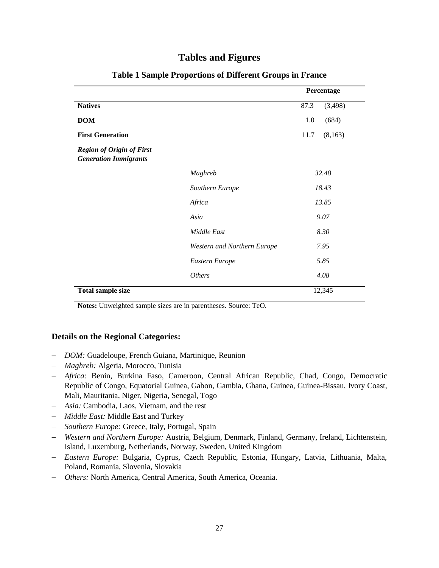### **Tables and Figures**

<span id="page-30-0"></span>

|                                                                  |                             | Percentage      |  |
|------------------------------------------------------------------|-----------------------------|-----------------|--|
| <b>Natives</b>                                                   |                             | 87.3<br>(3,498) |  |
| <b>DOM</b>                                                       |                             | (684)<br>1.0    |  |
| <b>First Generation</b>                                          |                             | (8,163)<br>11.7 |  |
| <b>Region of Origin of First</b><br><b>Generation Immigrants</b> |                             |                 |  |
|                                                                  | Maghreb                     | 32.48           |  |
|                                                                  | Southern Europe             | 18.43           |  |
|                                                                  | Africa                      | 13.85           |  |
|                                                                  | Asia                        | 9.07            |  |
|                                                                  | Middle East                 | 8.30            |  |
|                                                                  | Western and Northern Europe | 7.95            |  |
|                                                                  | Eastern Europe              | 5.85            |  |
|                                                                  | <i>Others</i>               | 4.08            |  |
| <b>Total sample size</b>                                         |                             | 12,345          |  |

#### **Table 1 Sample Proportions of Different Groups in France**

**Notes:** Unweighted sample sizes are in parentheses. Source: TeO.

#### **Details on the Regional Categories:**

- *DOM:* Guadeloupe, French Guiana, Martinique, Reunion
- *Maghreb:* Algeria, Morocco, Tunisia
- *Africa:* Benin, Burkina Faso, Cameroon, Central African Republic, Chad, Congo, Democratic Republic of Congo, Equatorial Guinea, Gabon, Gambia, Ghana, Guinea, Guinea-Bissau, Ivory Coast, Mali, Mauritania, Niger, Nigeria, Senegal, Togo
- *Asia:* Cambodia, Laos, Vietnam, and the rest
- *Middle East:* Middle East and Turkey
- *Southern Europe:* Greece, Italy, Portugal, Spain
- *Western and Northern Europe:* Austria, Belgium, Denmark, Finland, Germany, Ireland, Lichtenstein, Island, Luxemburg, Netherlands, Norway, Sweden, United Kingdom
- *Eastern Europe:* Bulgaria, Cyprus, Czech Republic, Estonia, Hungary, Latvia, Lithuania, Malta, Poland, Romania, Slovenia, Slovakia
- *Others:* North America, Central America, South America, Oceania.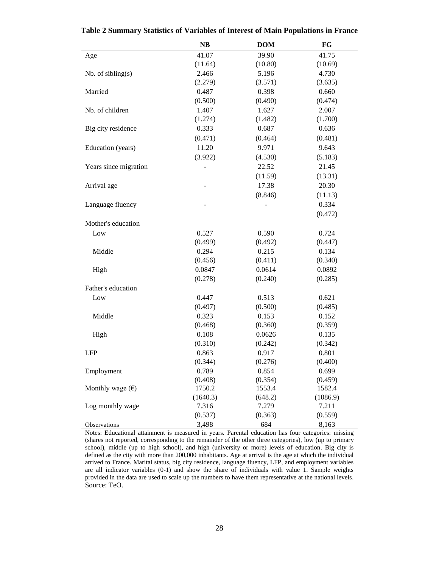|                           | NB       | <b>DOM</b> | FG       |
|---------------------------|----------|------------|----------|
| Age                       | 41.07    | 39.90      | 41.75    |
|                           | (11.64)  | (10.80)    | (10.69)  |
| $Nb.$ of sibling $(s)$    | 2.466    | 5.196      | 4.730    |
|                           | (2.279)  | (3.571)    | (3.635)  |
| Married                   | 0.487    | 0.398      | 0.660    |
|                           | (0.500)  | (0.490)    | (0.474)  |
| Nb. of children           | 1.407    | 1.627      | 2.007    |
|                           | (1.274)  | (1.482)    | (1.700)  |
| Big city residence        | 0.333    | 0.687      | 0.636    |
|                           | (0.471)  | (0.464)    | (0.481)  |
| Education (years)         | 11.20    | 9.971      | 9.643    |
|                           | (3.922)  | (4.530)    | (5.183)  |
| Years since migration     |          | 22.52      | 21.45    |
|                           |          | (11.59)    | (13.31)  |
| Arrival age               |          | 17.38      | 20.30    |
|                           |          | (8.846)    | (11.13)  |
| Language fluency          |          |            | 0.334    |
|                           |          |            | (0.472)  |
| Mother's education        |          |            |          |
| Low                       | 0.527    | 0.590      | 0.724    |
|                           | (0.499)  | (0.492)    | (0.447)  |
| Middle                    | 0.294    | 0.215      | 0.134    |
|                           | (0.456)  | (0.411)    | (0.340)  |
| High                      | 0.0847   | 0.0614     | 0.0892   |
|                           | (0.278)  | (0.240)    | (0.285)  |
| Father's education        |          |            |          |
| Low                       | 0.447    | 0.513      | 0.621    |
|                           | (0.497)  | (0.500)    | (0.485)  |
| Middle                    | 0.323    | 0.153      | 0.152    |
|                           | (0.468)  | (0.360)    | (0.359)  |
| High                      | 0.108    | 0.0626     | 0.135    |
|                           | (0.310)  | (0.242)    | (0.342)  |
| <b>LFP</b>                | 0.863    | 0.917      | 0.801    |
|                           | (0.344)  | (0.276)    | (0.400)  |
| Employment                | 0.789    | 0.854      | 0.699    |
|                           | (0.408)  | (0.354)    | (0.459)  |
| Monthly wage $(\epsilon)$ | 1750.2   | 1553.4     | 1582.4   |
|                           | (1640.3) | (648.2)    | (1086.9) |
| Log monthly wage          | 7.316    | 7.279      | 7.211    |
|                           | (0.537)  | (0.363)    | (0.559)  |
| Observations              | 3,498    | 684        | 8,163    |

<span id="page-31-0"></span>**Table 2 Summary Statistics of Variables of Interest of Main Populations in France**

Notes: Educational attainment is measured in years. Parental education has four categories: missing (shares not reported, corresponding to the remainder of the other three categories), low (up to primary school), middle (up to high school), and high (university or more) levels of education. Big city is defined as the city with more than 200,000 inhabitants. Age at arrival is the age at which the individual arrived to France. Marital status, big city residence, language fluency, LFP, and employment variables are all indicator variables (0-1) and show the share of individuals with value 1. Sample weights provided in the data are used to scale up the numbers to have them representative at the national levels. Source: TeO.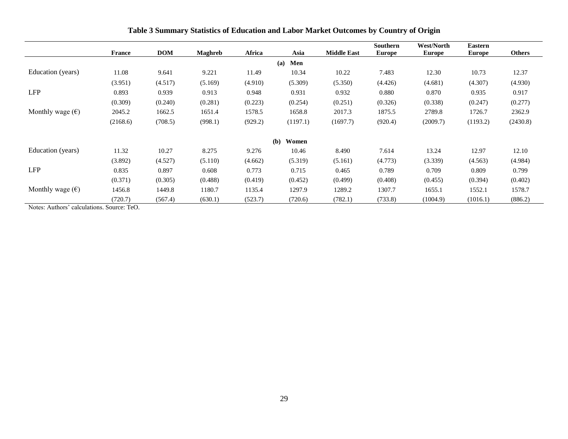|                           | <b>France</b> | <b>DOM</b> | <b>Maghreb</b> | Africa  | Asia         | <b>Middle East</b> | Southern<br><b>Europe</b> | <b>West/North</b><br><b>Europe</b> | <b>Eastern</b><br><b>Europe</b> | <b>Others</b> |
|---------------------------|---------------|------------|----------------|---------|--------------|--------------------|---------------------------|------------------------------------|---------------------------------|---------------|
|                           |               |            |                |         | Men<br>(a)   |                    |                           |                                    |                                 |               |
| Education (years)         | 11.08         | 9.641      | 9.221          | 11.49   | 10.34        | 10.22              | 7.483                     | 12.30                              | 10.73                           | 12.37         |
|                           | (3.951)       | (4.517)    | (5.169)        | (4.910) | (5.309)      | (5.350)            | (4.426)                   | (4.681)                            | (4.307)                         | (4.930)       |
| <b>LFP</b>                | 0.893         | 0.939      | 0.913          | 0.948   | 0.931        | 0.932              | 0.880                     | 0.870                              | 0.935                           | 0.917         |
|                           | (0.309)       | (0.240)    | (0.281)        | (0.223) | (0.254)      | (0.251)            | (0.326)                   | (0.338)                            | (0.247)                         | (0.277)       |
| Monthly wage $(\epsilon)$ | 2045.2        | 1662.5     | 1651.4         | 1578.5  | 1658.8       | 2017.3             | 1875.5                    | 2789.8                             | 1726.7                          | 2362.9        |
|                           | (2168.6)      | (708.5)    | (998.1)        | (929.2) | (1197.1)     | (1697.7)           | (920.4)                   | (2009.7)                           | (1193.2)                        | (2430.8)      |
|                           |               |            |                |         | (b)<br>Women |                    |                           |                                    |                                 |               |
| Education (years)         | 11.32         | 10.27      | 8.275          | 9.276   | 10.46        | 8.490              | 7.614                     | 13.24                              | 12.97                           | 12.10         |
|                           | (3.892)       | (4.527)    | (5.110)        | (4.662) | (5.319)      | (5.161)            | (4.773)                   | (3.339)                            | (4.563)                         | (4.984)       |
| <b>LFP</b>                | 0.835         | 0.897      | 0.608          | 0.773   | 0.715        | 0.465              | 0.789                     | 0.709                              | 0.809                           | 0.799         |
|                           | (0.371)       | (0.305)    | (0.488)        | (0.419) | (0.452)      | (0.499)            | (0.408)                   | (0.455)                            | (0.394)                         | (0.402)       |
| Monthly wage $(\epsilon)$ | 1456.8        | 1449.8     | 1180.7         | 1135.4  | 1297.9       | 1289.2             | 1307.7                    | 1655.1                             | 1552.1                          | 1578.7        |
|                           | (720.7)       | (567.4)    | (630.1)        | (523.7) | (720.6)      | (782.1)            | (733.8)                   | (1004.9)                           | (1016.1)                        | (886.2)       |

**Table 3 Summary Statistics of Education and Labor Market Outcomes by Country of Origin**

<span id="page-32-0"></span>Notes: Authors' calculations. Source: TeO.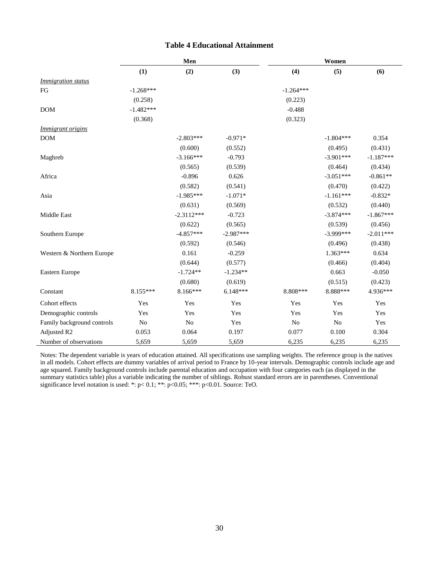#### **Table 4 Educational Attainment**

<span id="page-33-0"></span>

|                            | Men         |              |             | Women          |                |             |  |
|----------------------------|-------------|--------------|-------------|----------------|----------------|-------------|--|
|                            | (1)         | (2)          | (3)         | (4)            | (5)            | (6)         |  |
| <i>Immigration status</i>  |             |              |             |                |                |             |  |
| FG                         | $-1.268***$ |              |             | $-1.264***$    |                |             |  |
|                            | (0.258)     |              |             | (0.223)        |                |             |  |
| <b>DOM</b>                 | $-1.482***$ |              |             | $-0.488$       |                |             |  |
|                            | (0.368)     |              |             | (0.323)        |                |             |  |
| <i>Immigrant origins</i>   |             |              |             |                |                |             |  |
| <b>DOM</b>                 |             | $-2.803***$  | $-0.971*$   |                | $-1.804***$    | 0.354       |  |
|                            |             | (0.600)      | (0.552)     |                | (0.495)        | (0.431)     |  |
| Maghreb                    |             | $-3.166***$  | $-0.793$    |                | $-3.901***$    | $-1.187***$ |  |
|                            |             | (0.565)      | (0.539)     |                | (0.464)        | (0.434)     |  |
| Africa                     |             | $-0.896$     | 0.626       |                | $-3.051***$    | $-0.861**$  |  |
|                            |             | (0.582)      | (0.541)     |                | (0.470)        | (0.422)     |  |
| Asia                       |             | $-1.985***$  | $-1.071*$   |                | $-1.161***$    | $-0.832*$   |  |
|                            |             | (0.631)      | (0.569)     |                | (0.532)        | (0.440)     |  |
| Middle East                |             | $-2.3112***$ | $-0.723$    |                | $-3.874***$    | $-1.867***$ |  |
|                            |             | (0.622)      | (0.565)     |                | (0.539)        | (0.456)     |  |
| Southern Europe            |             | $-4.857***$  | $-2.987***$ |                | $-3.999***$    | $-2.011***$ |  |
|                            |             | (0.592)      | (0.546)     |                | (0.496)        | (0.438)     |  |
| Western & Northern Europe  |             | 0.161        | $-0.259$    |                | $1.363***$     | 0.634       |  |
|                            |             | (0.644)      | (0.577)     |                | (0.466)        | (0.404)     |  |
| Eastern Europe             |             | $-1.724**$   | $-1.234**$  |                | 0.663          | $-0.050$    |  |
|                            |             | (0.680)      | (0.619)     |                | (0.515)        | (0.423)     |  |
| Constant                   | $8.155***$  | $8.166***$   | $6.148***$  | 8.808***       | 8.888***       | 4.936***    |  |
| Cohort effects             | Yes         | Yes          | Yes         | Yes            | Yes            | Yes         |  |
| Demographic controls       | Yes         | Yes          | Yes         | Yes            | Yes            | Yes         |  |
| Family background controls | No          | No           | Yes         | N <sub>o</sub> | N <sub>o</sub> | Yes         |  |
| Adjusted R2                | 0.053       | 0.064        | 0.197       | 0.077          | 0.100          | 0.304       |  |
| Number of observations     | 5,659       | 5,659        | 5,659       | 6,235          | 6,235          | 6,235       |  |

Notes: The dependent variable is years of education attained. All specifications use sampling weights. The reference group is the natives in all models. Cohort effects are dummy variables of arrival period to France by 10-year intervals. Demographic controls include age and age squared. Family background controls include parental education and occupation with four categories each (as displayed in the summary statistics table) plus a variable indicating the number of siblings. Robust standard errors are in parentheses. Conventional significance level notation is used: \*: p<0.1; \*\*: p<0.05; \*\*\*: p<0.01. Source: TeO.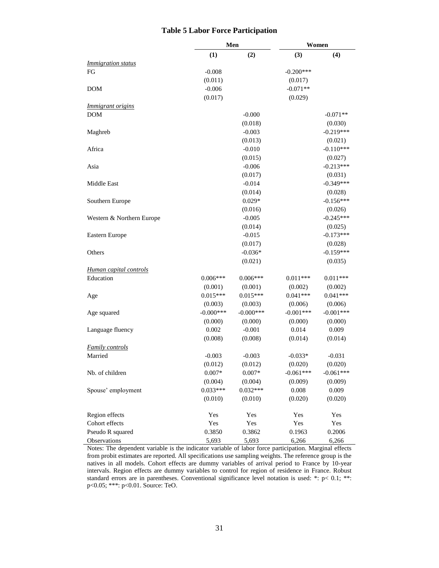#### **Table 5 Labor Force Participation**

<span id="page-34-0"></span>

|                                            |                         | Men                     |                        | Women                  |
|--------------------------------------------|-------------------------|-------------------------|------------------------|------------------------|
|                                            | (1)                     | (2)                     | (3)                    | (4)                    |
| <i>Immigration status</i>                  |                         |                         |                        |                        |
| FG                                         | $-0.008$                |                         | $-0.200***$            |                        |
|                                            | (0.011)                 |                         | (0.017)                |                        |
| <b>DOM</b>                                 | $-0.006$                |                         | $-0.071**$             |                        |
|                                            | (0.017)                 |                         | (0.029)                |                        |
| <i>Immigrant origins</i>                   |                         |                         |                        |                        |
| <b>DOM</b>                                 |                         | $-0.000$                |                        | $-0.071**$             |
|                                            |                         | (0.018)                 |                        | (0.030)                |
| Maghreb                                    |                         | $-0.003$                |                        | $-0.219***$            |
|                                            |                         | (0.013)                 |                        | (0.021)                |
| Africa                                     |                         | $-0.010$                |                        | $-0.110***$            |
|                                            |                         | (0.015)                 |                        | (0.027)                |
| Asia                                       |                         | $-0.006$                |                        | $-0.213***$            |
|                                            |                         | (0.017)                 |                        | (0.031)                |
| Middle East                                |                         | $-0.014$                |                        | $-0.349***$            |
|                                            |                         | (0.014)                 |                        | (0.028)                |
| Southern Europe                            |                         | $0.029*$                |                        | $-0.156***$            |
|                                            |                         | (0.016)                 |                        | (0.026)                |
| Western & Northern Europe                  |                         | $-0.005$                |                        | $-0.245***$            |
|                                            |                         | (0.014)                 |                        | (0.025)                |
| Eastern Europe                             |                         | $-0.015$                |                        | $-0.173***$            |
|                                            |                         | (0.017)                 |                        | (0.028)                |
| Others                                     |                         | $-0.036*$               |                        | $-0.159***$            |
|                                            |                         | (0.021)                 |                        | (0.035)                |
|                                            |                         |                         |                        |                        |
| <b>Human capital controls</b><br>Education | $0.006***$              | $0.006***$              | $0.011***$             | $0.011***$             |
|                                            | (0.001)                 |                         |                        |                        |
|                                            | $0.015***$              | (0.001)<br>$0.015***$   | (0.002)<br>$0.041***$  | (0.002)<br>$0.041***$  |
| Age                                        |                         |                         |                        |                        |
|                                            | (0.003)<br>$-0.000$ *** | (0.003)<br>$-0.000$ *** | (0.006)<br>$-0.001***$ | (0.006)<br>$-0.001***$ |
| Age squared                                |                         |                         |                        |                        |
|                                            | (0.000)                 | (0.000)                 | (0.000)                | (0.000)                |
| Language fluency                           | 0.002                   | $-0.001$                | 0.014                  | 0.009                  |
|                                            | (0.008)                 | (0.008)                 | (0.014)                | (0.014)                |
| <b>Family controls</b>                     |                         |                         |                        |                        |
| Married                                    | $-0.003$                | $-0.003$                | $-0.033*$              | $-0.031$               |
|                                            | (0.012)                 | (0.012)                 | (0.020)                | (0.020)                |
| Nb. of children                            | $0.007*$                | $0.007*$                | $-0.061***$            | $-0.061***$            |
|                                            | (0.004)                 | (0.004)                 | (0.009)                | (0.009)                |
| Spouse' employment                         | $0.033***$              | $0.032***$              | 0.008                  | 0.009                  |
|                                            | (0.010)                 | (0.010)                 | (0.020)                | (0.020)                |
| Region effects                             | Yes                     | Yes                     | Yes                    | Yes                    |
| Cohort effects                             | Yes                     | Yes                     | Yes                    | Yes                    |
| Pseudo R squared                           | 0.3850                  | 0.3862                  | 0.1963                 | 0.2006                 |
| Observations                               | 5,693                   | 5,693                   | 6,266                  | 6,266                  |

Notes: The dependent variable is the indicator variable of labor force participation. Marginal effects from probit estimates are reported. All specifications use sampling weights. The reference group is the natives in all models. Cohort effects are dummy variables of arrival period to France by 10-year intervals. Region effects are dummy variables to control for region of residence in France. Robust standard errors are in parentheses. Conventional significance level notation is used: \*: p< 0.1; \*\*: p<0.05; \*\*\*: p<0.01. Source: TeO.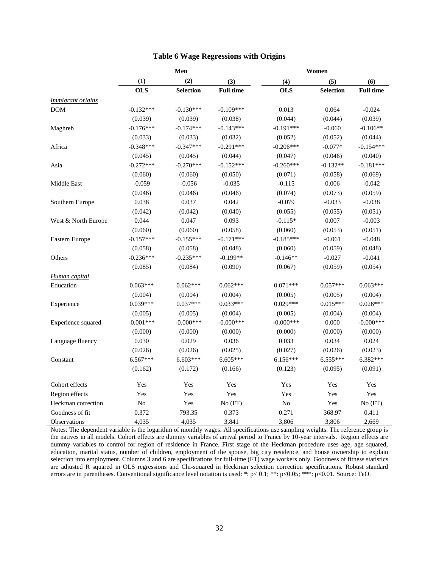<span id="page-35-0"></span>

|                     | Men         |                  |                  | Women        |                  |                  |  |
|---------------------|-------------|------------------|------------------|--------------|------------------|------------------|--|
|                     | (1)         | (2)              | (3)              | (4)          | (5)              | (6)              |  |
|                     | <b>OLS</b>  | <b>Selection</b> | <b>Full time</b> | <b>OLS</b>   | <b>Selection</b> | <b>Full time</b> |  |
| Immigrant origins   |             |                  |                  |              |                  |                  |  |
| <b>DOM</b>          | $-0.132***$ | $-0.130***$      | $-0.109***$      | 0.013        | 0.064            | $-0.024$         |  |
|                     | (0.039)     | (0.039)          | (0.038)          | (0.044)      | (0.044)          | (0.039)          |  |
| Maghreb             | $-0.176***$ | $-0.174***$      | $-0.143***$      | $-0.191***$  | $-0.060$         | $-0.106**$       |  |
|                     | (0.033)     | (0.033)          | (0.032)          | (0.052)      | (0.052)          | (0.044)          |  |
| Africa              | $-0.348***$ | $-0.347***$      | $-0.291***$      | $-0.206***$  | $-0.077*$        | $-0.154***$      |  |
|                     | (0.045)     | (0.045)          | (0.044)          | (0.047)      | (0.046)          | (0.040)          |  |
| Asia                | $-0.272***$ | $-0.270***$      | $-0.152***$      | $-0.260***$  | $-0.132**$       | $-0.181***$      |  |
|                     | (0.060)     | (0.060)          | (0.050)          | (0.071)      | (0.058)          | (0.069)          |  |
| Middle East         | $-0.059$    | $-0.056$         | $-0.035$         | $-0.115$     | 0.006            | $-0.042$         |  |
|                     | (0.046)     | (0.046)          | (0.046)          | (0.074)      | (0.073)          | (0.059)          |  |
| Southern Europe     | 0.038       | 0.037            | 0.042            | $-0.079$     | $-0.033$         | $-0.038$         |  |
|                     | (0.042)     | (0.042)          | (0.040)          | (0.055)      | (0.055)          | (0.051)          |  |
| West & North Europe | 0.044       | 0.047            | 0.093            | $-0.115*$    | 0.007            | $-0.003$         |  |
|                     | (0.060)     | (0.060)          | (0.058)          | (0.060)      | (0.053)          | (0.051)          |  |
| Eastern Europe      | $-0.157***$ | $-0.155***$      | $-0.171***$      | $-0.185***$  | $-0.061$         | $-0.048$         |  |
|                     | (0.058)     | (0.058)          | (0.048)          | (0.060)      | (0.059)          | (0.048)          |  |
| Others              | $-0.236***$ | $-0.235***$      | $-0.199**$       | $-0.146**$   | $-0.027$         | $-0.041$         |  |
|                     | (0.085)     | (0.084)          | (0.090)          | (0.067)      | (0.059)          | (0.054)          |  |
| Human capital       |             |                  |                  |              |                  |                  |  |
| Education           | $0.063***$  | $0.062***$       | $0.062***$       | $0.071***$   | $0.057***$       | $0.063***$       |  |
|                     | (0.004)     | (0.004)          | (0.004)          | (0.005)      | (0.005)          | (0.004)          |  |
| Experience          | $0.039***$  | $0.037***$       | $0.033***$       | $0.029***$   | $0.015***$       | $0.026***$       |  |
|                     | (0.005)     | (0.005)          | (0.004)          | (0.005)      | (0.004)          | (0.004)          |  |
| Experience squared  | $-0.001***$ | $-0.000***$      | $-0.000***$      | $-0.000$ *** | 0.000            | $-0.000***$      |  |
|                     | (0.000)     | (0.000)          | (0.000)          | (0.000)      | (0.000)          | (0.000)          |  |
| Language fluency    | 0.030       | 0.029            | 0.036            | 0.033        | 0.034            | 0.024            |  |
|                     | (0.026)     | (0.026)          | (0.025)          | (0.027)      | (0.026)          | (0.023)          |  |
| Constant            | 6.567***    | 6.603***         | 6.605***         | $6.156***$   | 6.555***         | 6.382***         |  |
|                     | (0.162)     | (0.172)          | (0.166)          | (0.123)      | (0.095)          | (0.091)          |  |
| Cohort effects      | Yes         | Yes              | Yes              | Yes          | Yes              | Yes              |  |
| Region effects      | Yes         | Yes              | Yes              | Yes          | Yes              | Yes              |  |
| Heckman correction  | $\rm No$    | Yes              | No(FT)           | No           | Yes              | No (FT)          |  |
| Goodness of fit     | 0.372       | 793.35           | 0.373            | 0.271        | 368.97           | 0.411            |  |
| Observations        | 4,035       | 4,035            | 3,841            | 3,806        | 3,806            | 2,669            |  |

#### **Table 6 Wage Regressions with Origins**

Notes: The dependent variable is the logarithm of monthly wages. All specifications use sampling weights. The reference group is the natives in all models. Cohort effects are dummy variables of arrival period to France by 10-year intervals. Region effects are dummy variables to control for region of residence in France. First stage of the Heckman procedure uses age, age squared, education, marital status, number of children, employment of the spouse, big city residence, and house ownership to explain selection into employment. Columns 3 and 6 are specifications for full-time (FT) wage workers only. Goodness of fitness statistics are adjusted R squared in OLS regressions and Chi-squared in Heckman selection correction specifications. Robust standard errors are in parentheses. Conventional significance level notation is used: \*: p< 0.1; \*\*: p<0.05; \*\*\*: p<0.01. Source: TeO.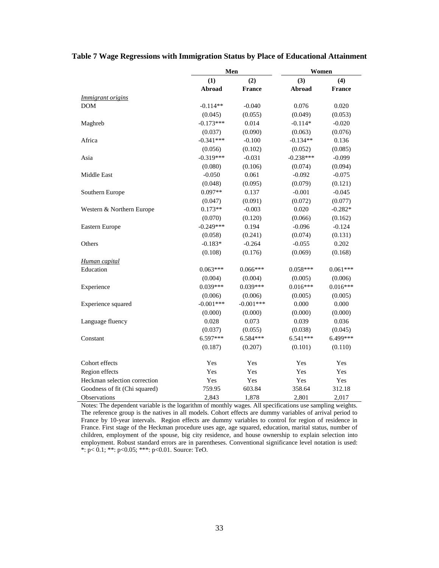|                               |             | Men           | Women       |            |  |  |
|-------------------------------|-------------|---------------|-------------|------------|--|--|
|                               | (1)         | (2)           | (3)         | (4)        |  |  |
|                               | Abroad      | <b>France</b> | Abroad      | France     |  |  |
| <i>Immigrant origins</i>      |             |               |             |            |  |  |
| <b>DOM</b>                    | $-0.114**$  | $-0.040$      | 0.076       | 0.020      |  |  |
|                               | (0.045)     | (0.055)       | (0.049)     | (0.053)    |  |  |
| Maghreb                       | $-0.173***$ | 0.014         | $-0.114*$   | $-0.020$   |  |  |
|                               | (0.037)     | (0.090)       | (0.063)     | (0.076)    |  |  |
| Africa                        | $-0.341***$ | $-0.100$      | $-0.134**$  | 0.136      |  |  |
|                               | (0.056)     | (0.102)       | (0.052)     | (0.085)    |  |  |
| Asia                          | $-0.319***$ | $-0.031$      | $-0.238***$ | $-0.099$   |  |  |
|                               | (0.080)     | (0.106)       | (0.074)     | (0.094)    |  |  |
| Middle East                   | $-0.050$    | 0.061         | $-0.092$    | $-0.075$   |  |  |
|                               | (0.048)     | (0.095)       | (0.079)     | (0.121)    |  |  |
| Southern Europe               | $0.097**$   | 0.137         | $-0.001$    | $-0.045$   |  |  |
|                               | (0.047)     | (0.091)       | (0.072)     | (0.077)    |  |  |
| Western & Northern Europe     | $0.173**$   | $-0.003$      | 0.020       | $-0.282*$  |  |  |
|                               | (0.070)     | (0.120)       | (0.066)     | (0.162)    |  |  |
| Eastern Europe                | $-0.249***$ | 0.194         | $-0.096$    | $-0.124$   |  |  |
|                               | (0.058)     | (0.241)       | (0.074)     | (0.131)    |  |  |
| Others                        | $-0.183*$   | $-0.264$      | $-0.055$    | 0.202      |  |  |
|                               | (0.108)     | (0.176)       | (0.069)     | (0.168)    |  |  |
| Human capital                 |             |               |             |            |  |  |
| Education                     | $0.063***$  | $0.066***$    | $0.058***$  | $0.061***$ |  |  |
|                               | (0.004)     | (0.004)       | (0.005)     | (0.006)    |  |  |
| Experience                    | $0.039***$  | $0.039***$    | $0.016***$  | $0.016***$ |  |  |
|                               | (0.006)     | (0.006)       | (0.005)     | (0.005)    |  |  |
| Experience squared            | $-0.001***$ | $-0.001***$   | 0.000       | 0.000      |  |  |
|                               | (0.000)     | (0.000)       | (0.000)     | (0.000)    |  |  |
| Language fluency              | 0.028       | 0.073         | 0.039       | 0.036      |  |  |
|                               | (0.037)     | (0.055)       | (0.038)     | (0.045)    |  |  |
| Constant                      | 6.597***    | 6.584***      | 6.541***    | 6.499***   |  |  |
|                               | (0.187)     | (0.207)       | (0.101)     | (0.110)    |  |  |
| Cohort effects                | Yes         | Yes           | Yes         | Yes        |  |  |
| Region effects                | Yes         | Yes           | Yes         | Yes        |  |  |
| Heckman selection correction  | Yes         | Yes           | Yes         | Yes        |  |  |
| Goodness of fit (Chi squared) | 759.95      | 603.84        | 358.64      | 312.18     |  |  |
| Observations                  | 2,843       | 1,878         | 2,801       | 2,017      |  |  |

#### <span id="page-36-0"></span>**Table 7 Wage Regressions with Immigration Status by Place of Educational Attainment**

Notes: The dependent variable is the logarithm of monthly wages. All specifications use sampling weights. The reference group is the natives in all models. Cohort effects are dummy variables of arrival period to France by 10-year intervals. Region effects are dummy variables to control for region of residence in France. First stage of the Heckman procedure uses age, age squared, education, marital status, number of children, employment of the spouse, big city residence, and house ownership to explain selection into employment. Robust standard errors are in parentheses. Conventional significance level notation is used: \*: p< 0.1; \*\*: p<0.05; \*\*\*: p<0.01. Source: TeO.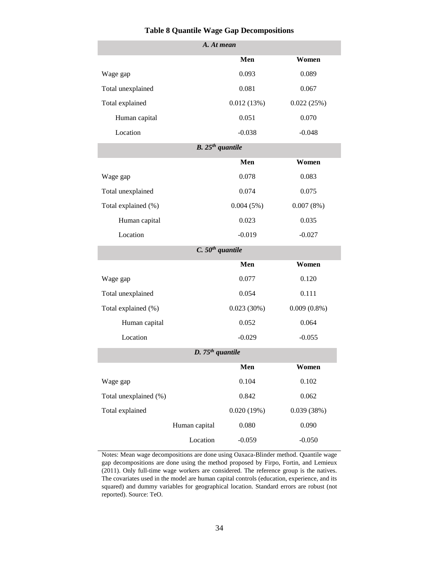<span id="page-37-0"></span>

| A. At mean            |                              |            |                |  |  |  |  |
|-----------------------|------------------------------|------------|----------------|--|--|--|--|
|                       |                              | Men        | Women          |  |  |  |  |
| Wage gap              |                              | 0.093      | 0.089          |  |  |  |  |
| Total unexplained     |                              | 0.081      | 0.067          |  |  |  |  |
| Total explained       |                              | 0.012(13%) | 0.022(25%)     |  |  |  |  |
| Human capital         |                              | 0.051      | 0.070          |  |  |  |  |
| Location              |                              | $-0.038$   | $-0.048$       |  |  |  |  |
|                       | $B. 25th$ quantile           |            |                |  |  |  |  |
|                       |                              | Men        | Women          |  |  |  |  |
| Wage gap              |                              | 0.078      | 0.083          |  |  |  |  |
| Total unexplained     |                              | 0.074      | 0.075          |  |  |  |  |
| Total explained (%)   |                              | 0.004(5%)  | 0.007(8%)      |  |  |  |  |
| Human capital         |                              | 0.023      | 0.035          |  |  |  |  |
| Location              |                              | $-0.019$   | $-0.027$       |  |  |  |  |
|                       | $C. 50th$ quantile           |            |                |  |  |  |  |
|                       |                              | Men        | Women          |  |  |  |  |
| Wage gap              |                              | 0.077      | 0.120          |  |  |  |  |
| Total unexplained     |                              | 0.054      | 0.111          |  |  |  |  |
| Total explained (%)   |                              | 0.023(30%) | $0.009(0.8\%)$ |  |  |  |  |
| Human capital         |                              | 0.052      | 0.064          |  |  |  |  |
| Location              |                              | $-0.029$   | $-0.055$       |  |  |  |  |
|                       | D. 75 <sup>th</sup> quantile |            |                |  |  |  |  |
|                       |                              | Men        | Women          |  |  |  |  |
| Wage gap              |                              | 0.104      | 0.102          |  |  |  |  |
| Total unexplained (%) |                              | 0.842      | 0.062          |  |  |  |  |
| Total explained       |                              | 0.020(19%) | 0.039(38%)     |  |  |  |  |
|                       | Human capital                | 0.080      | 0.090          |  |  |  |  |
|                       | Location                     | $-0.059$   | $-0.050$       |  |  |  |  |

#### **Table 8 Quantile Wage Gap Decompositions**

Notes: Mean wage decompositions are done using Oaxaca-Blinder method. Quantile wage gap decompositions are done using the method proposed by Firpo, Fortin, and Lemieux (2011). Only full-time wage workers are considered. The reference group is the natives. The covariates used in the model are human capital controls (education, experience, and its squared) and dummy variables for geographical location. Standard errors are robust (not reported). Source: TeO.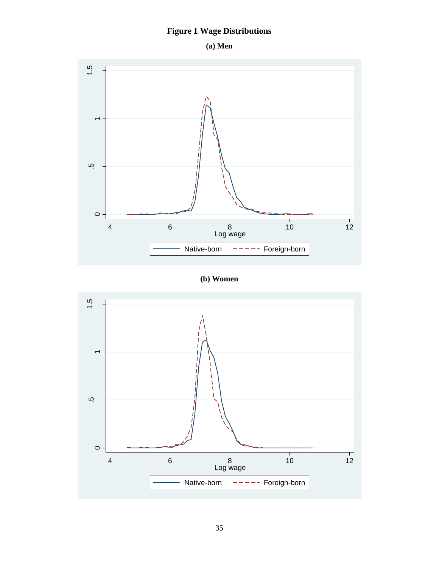# **Figure 1 Wage Distributions**



<span id="page-38-0"></span>

**(b) Women**

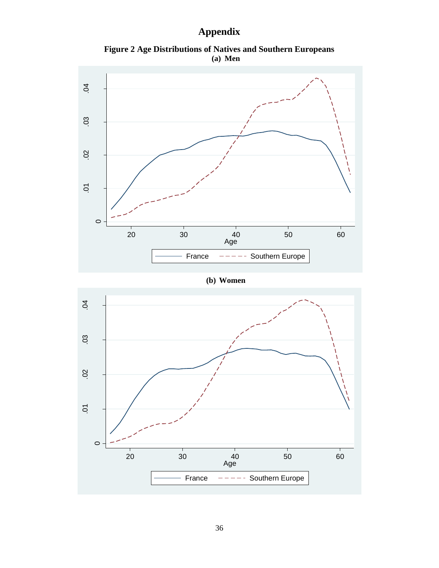# **Appendix**

**Figure 2 Age Distributions of Natives and Southern Europeans (a) Men**



**(b) Women**

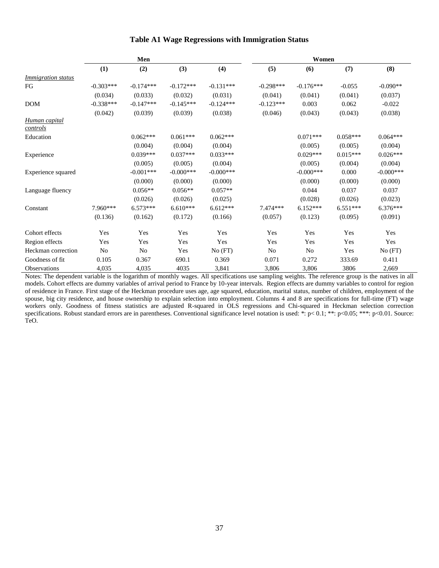<span id="page-40-0"></span>

|                                  | Men         |             |             |             | Women       |                |            |              |
|----------------------------------|-------------|-------------|-------------|-------------|-------------|----------------|------------|--------------|
|                                  | (1)         | (2)         | (3)         | (4)         | (5)         | (6)            | (7)        | (8)          |
| <i>Immigration status</i>        |             |             |             |             |             |                |            |              |
| FG                               | $-0.303***$ | $-0.174***$ | $-0.172***$ | $-0.131***$ | $-0.298***$ | $-0.176***$    | $-0.055$   | $-0.090**$   |
|                                  | (0.034)     | (0.033)     | (0.032)     | (0.031)     | (0.041)     | (0.041)        | (0.041)    | (0.037)      |
| <b>DOM</b>                       | $-0.338***$ | $-0.147***$ | $-0.145***$ | $-0.124***$ | $-0.123***$ | 0.003          | 0.062      | $-0.022$     |
|                                  | (0.042)     | (0.039)     | (0.039)     | (0.038)     | (0.046)     | (0.043)        | (0.043)    | (0.038)      |
| Human capital<br><u>controls</u> |             |             |             |             |             |                |            |              |
| Education                        |             | $0.062***$  | $0.061***$  | $0.062***$  |             | $0.071***$     | $0.058***$ | $0.064***$   |
|                                  |             | (0.004)     | (0.004)     | (0.004)     |             | (0.005)        | (0.005)    | (0.004)      |
| Experience                       |             | $0.039***$  | $0.037***$  | $0.033***$  |             | $0.029***$     | $0.015***$ | $0.026***$   |
|                                  |             | (0.005)     | (0.005)     | (0.004)     |             | (0.005)        | (0.004)    | (0.004)      |
| Experience squared               |             | $-0.001***$ | $-0.000***$ | $-0.000***$ |             | $-0.000$ ***   | 0.000      | $-0.000$ *** |
|                                  |             | (0.000)     | (0.000)     | (0.000)     |             | (0.000)        | (0.000)    | (0.000)      |
| Language fluency                 |             | $0.056**$   | $0.056**$   | $0.057**$   |             | 0.044          | 0.037      | 0.037        |
|                                  |             | (0.026)     | (0.026)     | (0.025)     |             | (0.028)        | (0.026)    | (0.023)      |
| Constant                         | $7.960***$  | $6.573***$  | $6.610***$  | $6.612***$  | $7.474***$  | $6.152***$     | $6.551***$ | $6.376***$   |
|                                  | (0.136)     | (0.162)     | (0.172)     | (0.166)     | (0.057)     | (0.123)        | (0.095)    | (0.091)      |
| Cohort effects                   | Yes         | Yes         | Yes         | Yes         | Yes         | Yes            | Yes        | Yes          |
| Region effects                   | Yes         | Yes         | Yes         | Yes         | Yes         | Yes            | Yes        | Yes          |
| Heckman correction               | No          | No          | Yes         | No(FT)      | No          | N <sub>0</sub> | Yes        | No(FT)       |
| Goodness of fit                  | 0.105       | 0.367       | 690.1       | 0.369       | 0.071       | 0.272          | 333.69     | 0.411        |
| <b>Observations</b>              | 4,035       | 4,035       | 4035        | 3,841       | 3,806       | 3,806          | 3806       | 2,669        |

#### **Table A1 Wage Regressions with Immigration Status**

Notes: The dependent variable is the logarithm of monthly wages. All specifications use sampling weights. The reference group is the natives in all models. Cohort effects are dummy variables of arrival period to France by 10-year intervals. Region effects are dummy variables to control for region of residence in France. First stage of the Heckman procedure uses age, age squared, education, marital status, number of children, employment of the spouse, big city residence, and house ownership to explain selection into employment. Columns 4 and 8 are specifications for full-time (FT) wage workers only. Goodness of fitness statistics are adjusted R-squared in OLS regressions and Chi-squared in Heckman selection correction specifications. Robust standard errors are in parentheses. Conventional significance level notation is used: \*: p<0.1; \*\*: p<0.05; \*\*\*: p<0.01. Source: TeO.